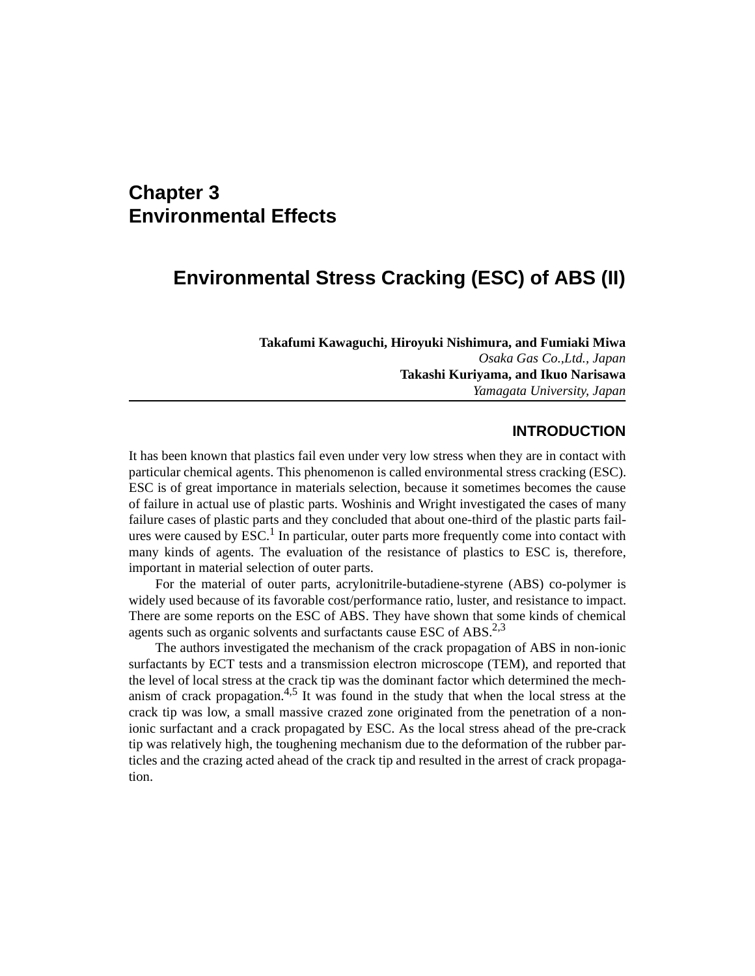# **Chapter 3 Environmental Effects**

# **Environmental Stress Cracking (ESC) of ABS (II)**

**Takafumi Kawaguchi, Hiroyuki Nishimura, and Fumiaki Miwa** *Osaka Gas Co.,Ltd., Japan* **Takashi Kuriyama, and Ikuo Narisawa** *Yamagata University, Japan*

### **INTRODUCTION**

It has been known that plastics fail even under very low stress when they are in contact with particular chemical agents. This phenomenon is called environmental stress cracking (ESC). ESC is of great importance in materials selection, because it sometimes becomes the cause of failure in actual use of plastic parts. Woshinis and Wright investigated the cases of many failure cases of plastic parts and they concluded that about one-third of the plastic parts failures were caused by  $\text{ESC}$ <sup>1</sup>. In particular, outer parts more frequently come into contact with many kinds of agents. The evaluation of the resistance of plastics to ESC is, therefore, important in material selection of outer parts.

For the material of outer parts, acrylonitrile-butadiene-styrene (ABS) co-polymer is widely used because of its favorable cost/performance ratio, luster, and resistance to impact. There are some reports on the ESC of ABS. They have shown that some kinds of chemical agents such as organic solvents and surfactants cause ESC of ABS.<sup>2,3</sup>

The authors investigated the mechanism of the crack propagation of ABS in non-ionic surfactants by ECT tests and a transmission electron microscope (TEM), and reported that the level of local stress at the crack tip was the dominant factor which determined the mechanism of crack propagation.<sup>4,5</sup> It was found in the study that when the local stress at the crack tip was low, a small massive crazed zone originated from the penetration of a nonionic surfactant and a crack propagated by ESC. As the local stress ahead of the pre-crack tip was relatively high, the toughening mechanism due to the deformation of the rubber particles and the crazing acted ahead of the crack tip and resulted in the arrest of crack propagation.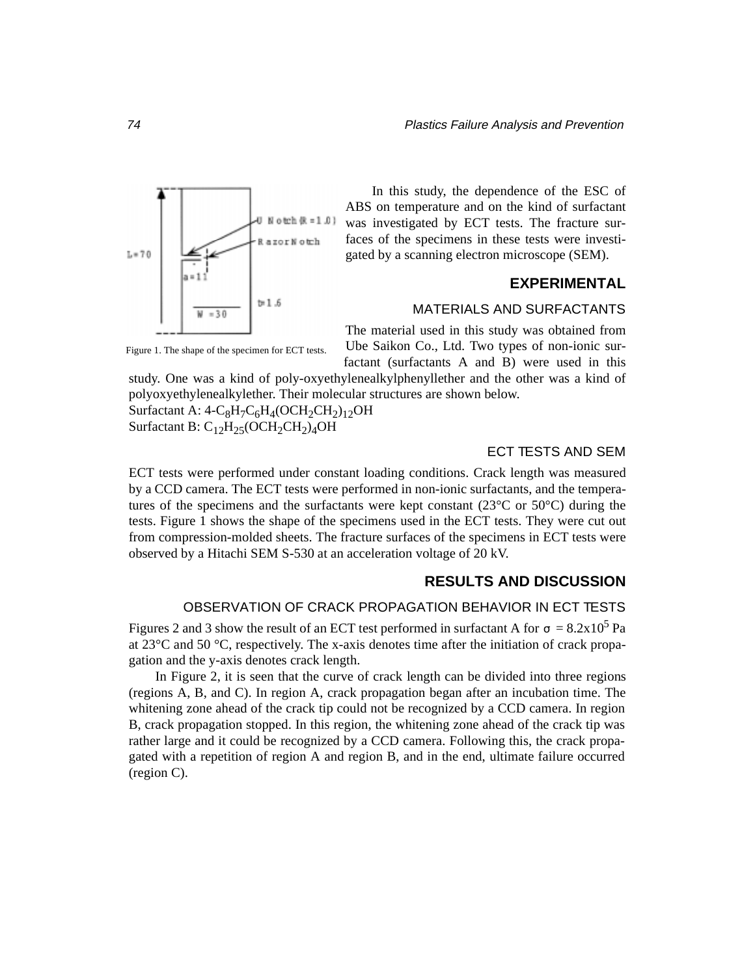

In this study, the dependence of the ESC of ABS on temperature and on the kind of surfactant was investigated by ECT tests. The fracture surfaces of the specimens in these tests were investigated by a scanning electron microscope (SEM).

### **EXPERIMENTAL**

### MATERIALS AND SURFACTANTS

Figure 1. The shape of the specimen for ECT tests.

The material used in this study was obtained from Ube Saikon Co., Ltd. Two types of non-ionic surfactant (surfactants A and B) were used in this

study. One was a kind of poly-oxyethylenealkylphenyllether and the other was a kind of polyoxyethylenealkylether. Their molecular structures are shown below.

Surfactant A:  $4-C_8H_7C_6H_4(OCH_2CH_2)_{12}OH$ Surfactant B:  $C_{12}H_{25} (OCH_2CH_2)_4OH$ 

### ECT TESTS AND SEM

ECT tests were performed under constant loading conditions. Crack length was measured by a CCD camera. The ECT tests were performed in non-ionic surfactants, and the temperatures of the specimens and the surfactants were kept constant (23°C or 50°C) during the tests. Figure 1 shows the shape of the specimens used in the ECT tests. They were cut out from compression-molded sheets. The fracture surfaces of the specimens in ECT tests were observed by a Hitachi SEM S-530 at an acceleration voltage of 20 kV.

# **RESULTS AND DISCUSSION**

## OBSERVATION OF CRACK PROPAGATION BEHAVIOR IN ECT TESTS

Figures 2 and 3 show the result of an ECT test performed in surfactant A for  $\sigma = 8.2 \times 10^5$  Pa at 23°C and 50 °C, respectively. The x-axis denotes time after the initiation of crack propagation and the y-axis denotes crack length.

In Figure 2, it is seen that the curve of crack length can be divided into three regions (regions A, B, and C). In region A, crack propagation began after an incubation time. The whitening zone ahead of the crack tip could not be recognized by a CCD camera. In region B, crack propagation stopped. In this region, the whitening zone ahead of the crack tip was rather large and it could be recognized by a CCD camera. Following this, the crack propagated with a repetition of region A and region B, and in the end, ultimate failure occurred (region C).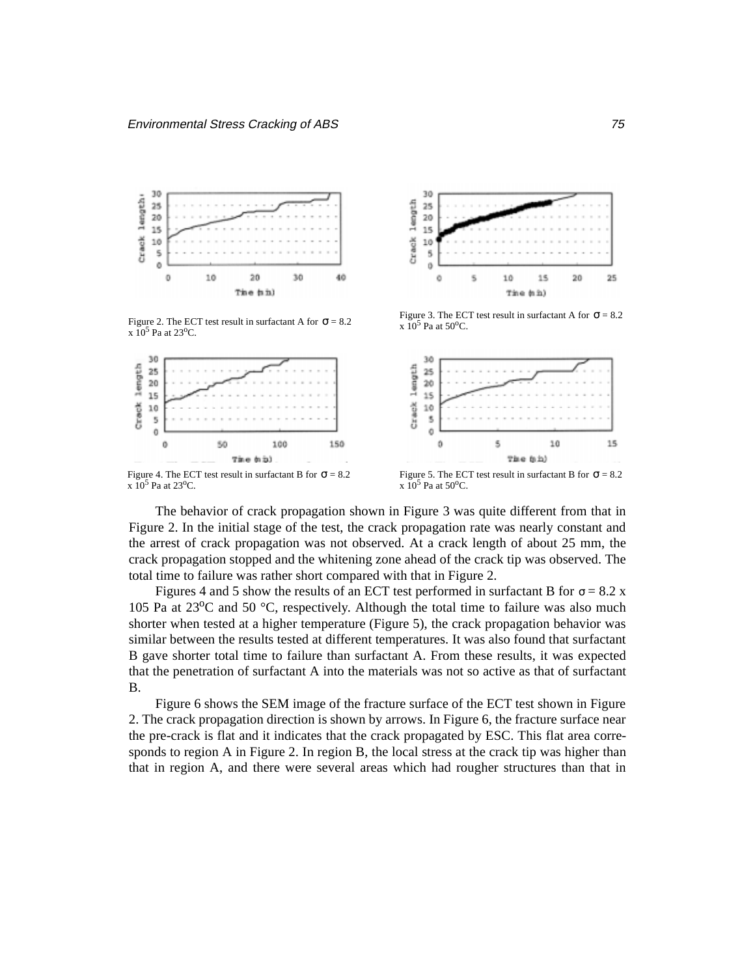

Figure 2. The ECT test result in surfactant A for  $\sigma = 8.2$  $\overline{x}$  10<sup>5</sup> Pa at 23<sup>o</sup>C.



Figure 4. The ECT test result in surfactant B for  $\sigma = 8.2$  $\rm x$  10<sup>5</sup> Pa at 23<sup>o</sup>C.



 $\sigma = 8.2$  Figure 3. The ECT test result in surfactant A for  $\sigma = 8.2$ <br>  $\sigma = 8.2$  $\overline{X}$  10<sup>5</sup> Pa at 50<sup>o</sup>C.



 $\sigma = 8.2$  Figure 5. The ECT test result in surfactant B for  $\sigma = 8.2$  $\times$  10<sup>5</sup> Pa at 50<sup>o</sup>C.

The behavior of crack propagation shown in Figure 3 was quite different from that in Figure 2. In the initial stage of the test, the crack propagation rate was nearly constant and the arrest of crack propagation was not observed. At a crack length of about 25 mm, the crack propagation stopped and the whitening zone ahead of the crack tip was observed. The total time to failure was rather short compared with that in Figure 2.

Figures 4 and 5 show the results of an ECT test performed in surfactant B for  $\sigma = 8.2$  x 105 Pa at  $23^{\circ}$ C and 50 °C, respectively. Although the total time to failure was also much shorter when tested at a higher temperature (Figure 5), the crack propagation behavior was similar between the results tested at different temperatures. It was also found that surfactant B gave shorter total time to failure than surfactant A. From these results, it was expected that the penetration of surfactant A into the materials was not so active as that of surfactant B.

Figure 6 shows the SEM image of the fracture surface of the ECT test shown in Figure 2. The crack propagation direction is shown by arrows. In Figure 6, the fracture surface near the pre-crack is flat and it indicates that the crack propagated by ESC. This flat area corresponds to region A in Figure 2. In region B, the local stress at the crack tip was higher than that in region A, and there were several areas which had rougher structures than that in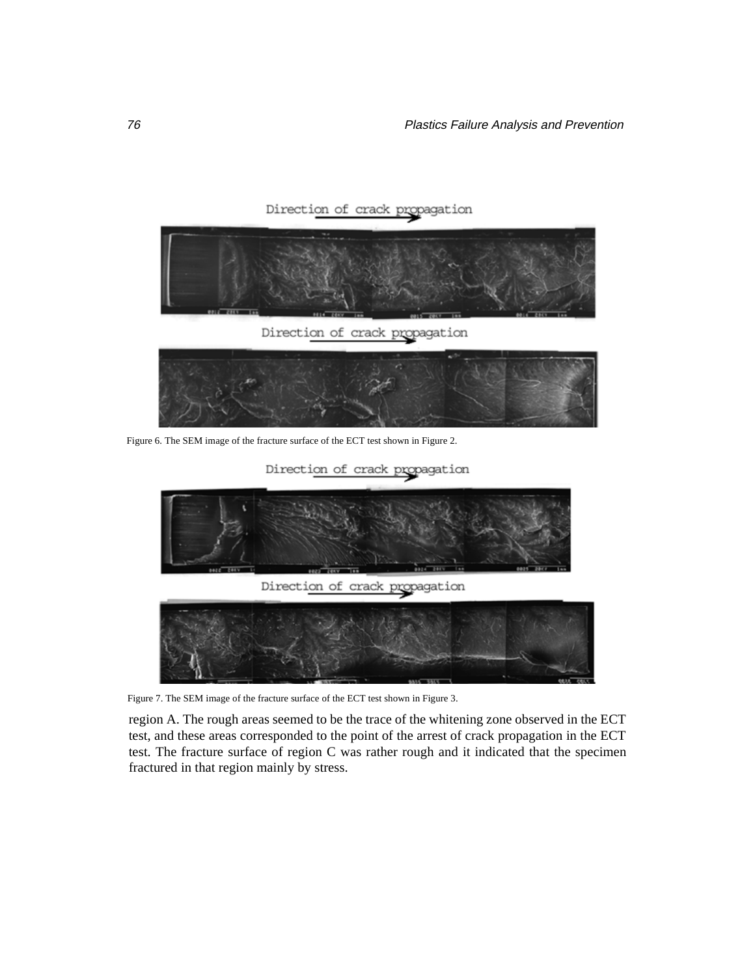Direction of crack propagation

Direction of crack propagation

Figure 6. The SEM image of the fracture surface of the ECT test shown in Figure 2.

Direction of crack propagation Direction of crack propagation

Figure 7. The SEM image of the fracture surface of the ECT test shown in Figure 3.

region A. The rough areas seemed to be the trace of the whitening zone observed in the ECT test, and these areas corresponded to the point of the arrest of crack propagation in the ECT test. The fracture surface of region C was rather rough and it indicated that the specimen fractured in that region mainly by stress.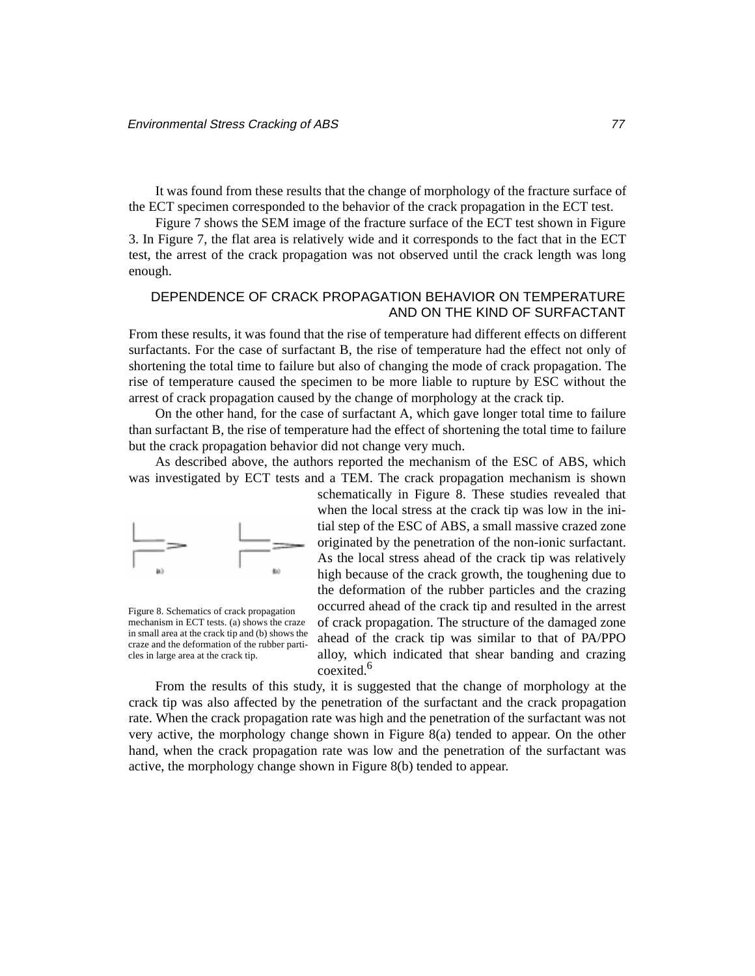It was found from these results that the change of morphology of the fracture surface of the ECT specimen corresponded to the behavior of the crack propagation in the ECT test.

Figure 7 shows the SEM image of the fracture surface of the ECT test shown in Figure 3. In Figure 7, the flat area is relatively wide and it corresponds to the fact that in the ECT test, the arrest of the crack propagation was not observed until the crack length was long enough.

### DEPENDENCE OF CRACK PROPAGATION BEHAVIOR ON TEMPERATURE AND ON THE KIND OF SURFACTANT

From these results, it was found that the rise of temperature had different effects on different surfactants. For the case of surfactant B, the rise of temperature had the effect not only of shortening the total time to failure but also of changing the mode of crack propagation. The rise of temperature caused the specimen to be more liable to rupture by ESC without the arrest of crack propagation caused by the change of morphology at the crack tip.

On the other hand, for the case of surfactant A, which gave longer total time to failure than surfactant B, the rise of temperature had the effect of shortening the total time to failure but the crack propagation behavior did not change very much.

As described above, the authors reported the mechanism of the ESC of ABS, which was investigated by ECT tests and a TEM. The crack propagation mechanism is shown



Figure 8. Schematics of crack propagation mechanism in ECT tests. (a) shows the craze in small area at the crack tip and (b) shows the craze and the deformation of the rubber particles in large area at the crack tip.

schematically in Figure 8. These studies revealed that when the local stress at the crack tip was low in the initial step of the ESC of ABS, a small massive crazed zone originated by the penetration of the non-ionic surfactant. As the local stress ahead of the crack tip was relatively high because of the crack growth, the toughening due to the deformation of the rubber particles and the crazing occurred ahead of the crack tip and resulted in the arrest of crack propagation. The structure of the damaged zone ahead of the crack tip was similar to that of PA/PPO alloy, which indicated that shear banding and crazing coexited.<sup>6</sup>

From the results of this study, it is suggested that the change of morphology at the crack tip was also affected by the penetration of the surfactant and the crack propagation rate. When the crack propagation rate was high and the penetration of the surfactant was not very active, the morphology change shown in Figure 8(a) tended to appear. On the other hand, when the crack propagation rate was low and the penetration of the surfactant was active, the morphology change shown in Figure 8(b) tended to appear.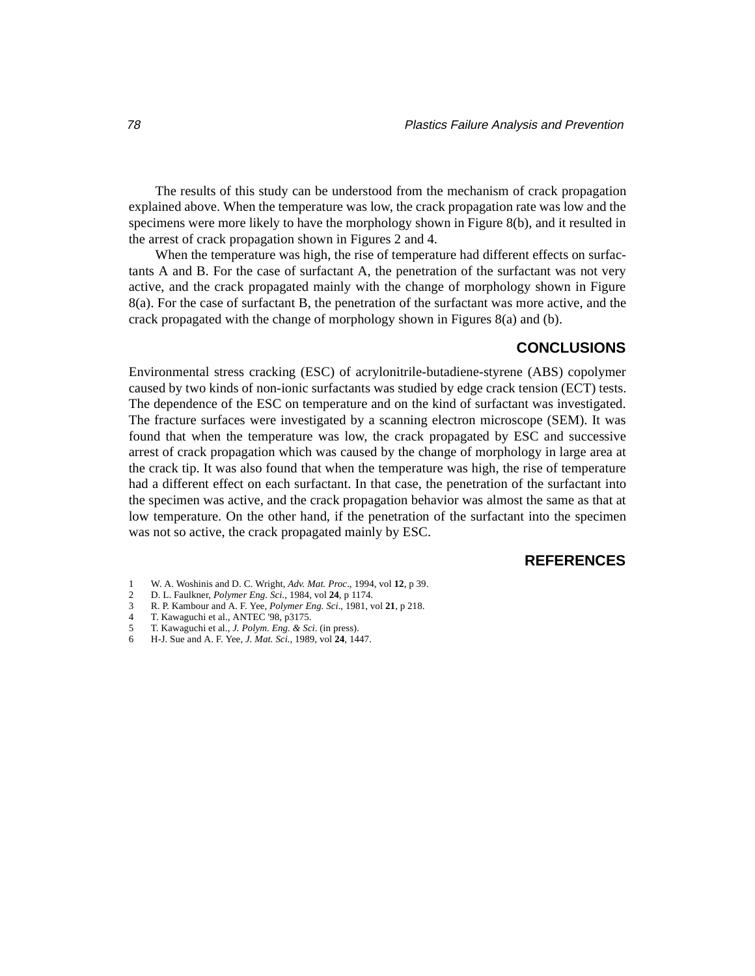The results of this study can be understood from the mechanism of crack propagation explained above. When the temperature was low, the crack propagation rate was low and the specimens were more likely to have the morphology shown in Figure 8(b), and it resulted in the arrest of crack propagation shown in Figures 2 and 4.

When the temperature was high, the rise of temperature had different effects on surfactants A and B. For the case of surfactant A, the penetration of the surfactant was not very active, and the crack propagated mainly with the change of morphology shown in Figure 8(a). For the case of surfactant B, the penetration of the surfactant was more active, and the crack propagated with the change of morphology shown in Figures 8(a) and (b).

## **CONCLUSIONS**

Environmental stress cracking (ESC) of acrylonitrile-butadiene-styrene (ABS) copolymer caused by two kinds of non-ionic surfactants was studied by edge crack tension (ECT) tests. The dependence of the ESC on temperature and on the kind of surfactant was investigated. The fracture surfaces were investigated by a scanning electron microscope (SEM). It was found that when the temperature was low, the crack propagated by ESC and successive arrest of crack propagation which was caused by the change of morphology in large area at the crack tip. It was also found that when the temperature was high, the rise of temperature had a different effect on each surfactant. In that case, the penetration of the surfactant into the specimen was active, and the crack propagation behavior was almost the same as that at low temperature. On the other hand, if the penetration of the surfactant into the specimen was not so active, the crack propagated mainly by ESC.

### **REFERENCES**

- 1 W. A. Woshinis and D. C. Wright, *Adv. Mat. Proc*., 1994, vol **12**, p 39.
- 2 D. L. Faulkner, *Polymer Eng. Sci*., 1984, vol **24**, p 1174.
- 3 R. P. Kambour and A. F. Yee, *Polymer Eng. Sci*., 1981, vol **21**, p 218.
- 4 T. Kawaguchi et al., ANTEC '98, p3175.
- 5 T. Kawaguchi et al., *J. Polym. Eng. & Sci*. (in press).
- 6 H-J. Sue and A. F. Yee, *J. Mat. Sci.*, 1989, vol **24**, 1447.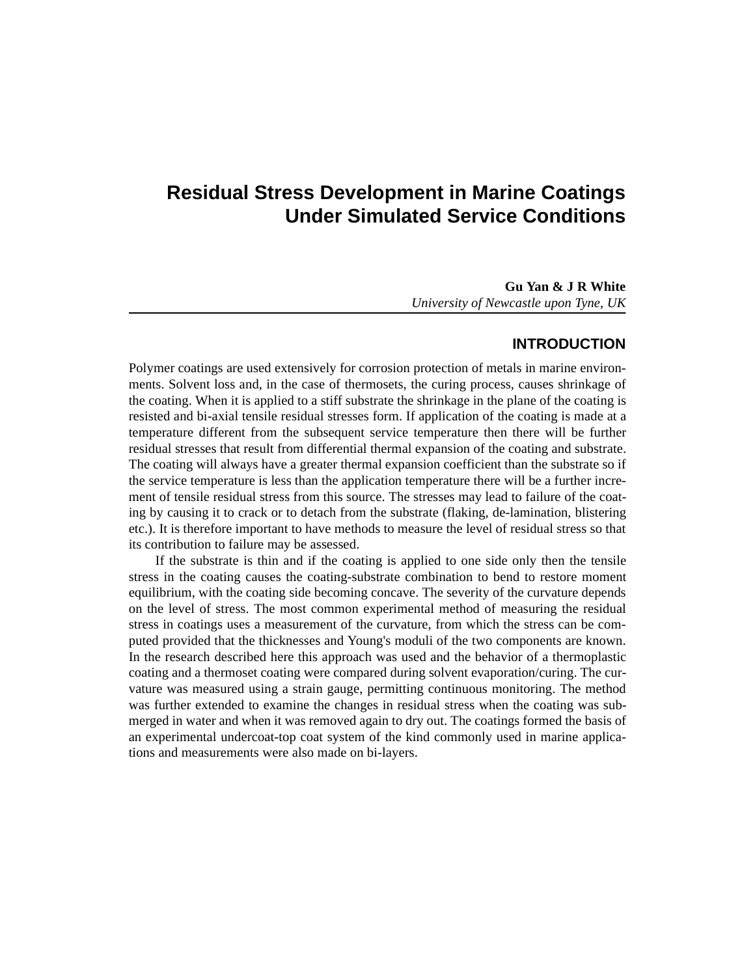# **Residual Stress Development in Marine Coatings Under Simulated Service Conditions**

**Gu Yan & J R White** *University of Newcastle upon Tyne, UK*

# **INTRODUCTION**

Polymer coatings are used extensively for corrosion protection of metals in marine environments. Solvent loss and, in the case of thermosets, the curing process, causes shrinkage of the coating. When it is applied to a stiff substrate the shrinkage in the plane of the coating is resisted and bi-axial tensile residual stresses form. If application of the coating is made at a temperature different from the subsequent service temperature then there will be further residual stresses that result from differential thermal expansion of the coating and substrate. The coating will always have a greater thermal expansion coefficient than the substrate so if the service temperature is less than the application temperature there will be a further increment of tensile residual stress from this source. The stresses may lead to failure of the coating by causing it to crack or to detach from the substrate (flaking, de-lamination, blistering etc.). It is therefore important to have methods to measure the level of residual stress so that its contribution to failure may be assessed.

If the substrate is thin and if the coating is applied to one side only then the tensile stress in the coating causes the coating-substrate combination to bend to restore moment equilibrium, with the coating side becoming concave. The severity of the curvature depends on the level of stress. The most common experimental method of measuring the residual stress in coatings uses a measurement of the curvature, from which the stress can be computed provided that the thicknesses and Young's moduli of the two components are known. In the research described here this approach was used and the behavior of a thermoplastic coating and a thermoset coating were compared during solvent evaporation/curing. The curvature was measured using a strain gauge, permitting continuous monitoring. The method was further extended to examine the changes in residual stress when the coating was submerged in water and when it was removed again to dry out. The coatings formed the basis of an experimental undercoat-top coat system of the kind commonly used in marine applications and measurements were also made on bi-layers.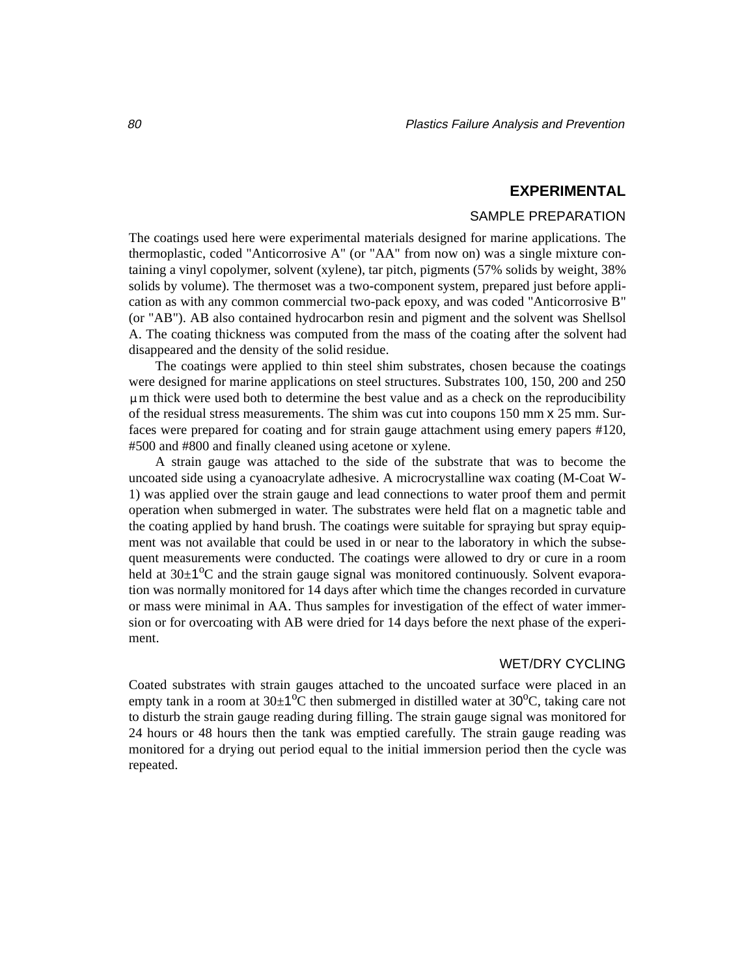### **EXPERIMENTAL**

### SAMPLE PREPARATION

The coatings used here were experimental materials designed for marine applications. The thermoplastic, coded "Anticorrosive A" (or "AA" from now on) was a single mixture containing a vinyl copolymer, solvent (xylene), tar pitch, pigments (57% solids by weight, 38% solids by volume). The thermoset was a two-component system, prepared just before application as with any common commercial two-pack epoxy, and was coded "Anticorrosive B" (or "AB"). AB also contained hydrocarbon resin and pigment and the solvent was Shellsol A. The coating thickness was computed from the mass of the coating after the solvent had disappeared and the density of the solid residue.

The coatings were applied to thin steel shim substrates, chosen because the coatings were designed for marine applications on steel structures. Substrates 100, 150, 200 and 250 m thick were used both to determine the best value and as a check on the reproducibility µof the residual stress measurements. The shim was cut into coupons 150 mm x 25 mm. Surfaces were prepared for coating and for strain gauge attachment using emery papers #120, #500 and #800 and finally cleaned using acetone or xylene.

A strain gauge was attached to the side of the substrate that was to become the uncoated side using a cyanoacrylate adhesive. A microcrystalline wax coating (M-Coat W-1) was applied over the strain gauge and lead connections to water proof them and permit operation when submerged in water. The substrates were held flat on a magnetic table and the coating applied by hand brush. The coatings were suitable for spraying but spray equipment was not available that could be used in or near to the laboratory in which the subsequent measurements were conducted. The coatings were allowed to dry or cure in a room held at  $30\pm1\textsuperscript{o}$  and the strain gauge signal was monitored continuously. Solvent evaporation was normally monitored for 14 days after which time the changes recorded in curvature or mass were minimal in AA. Thus samples for investigation of the effect of water immersion or for overcoating with AB were dried for 14 days before the next phase of the experiment.

#### WET/DRY CYCLING

Coated substrates with strain gauges attached to the uncoated surface were placed in an empty tank in a room at  $30\pm1\textsuperscript{o}C$  then submerged in distilled water at  $30\textsuperscript{o}C$ , taking care not to disturb the strain gauge reading during filling. The strain gauge signal was monitored for 24 hours or 48 hours then the tank was emptied carefully. The strain gauge reading was monitored for a drying out period equal to the initial immersion period then the cycle was repeated.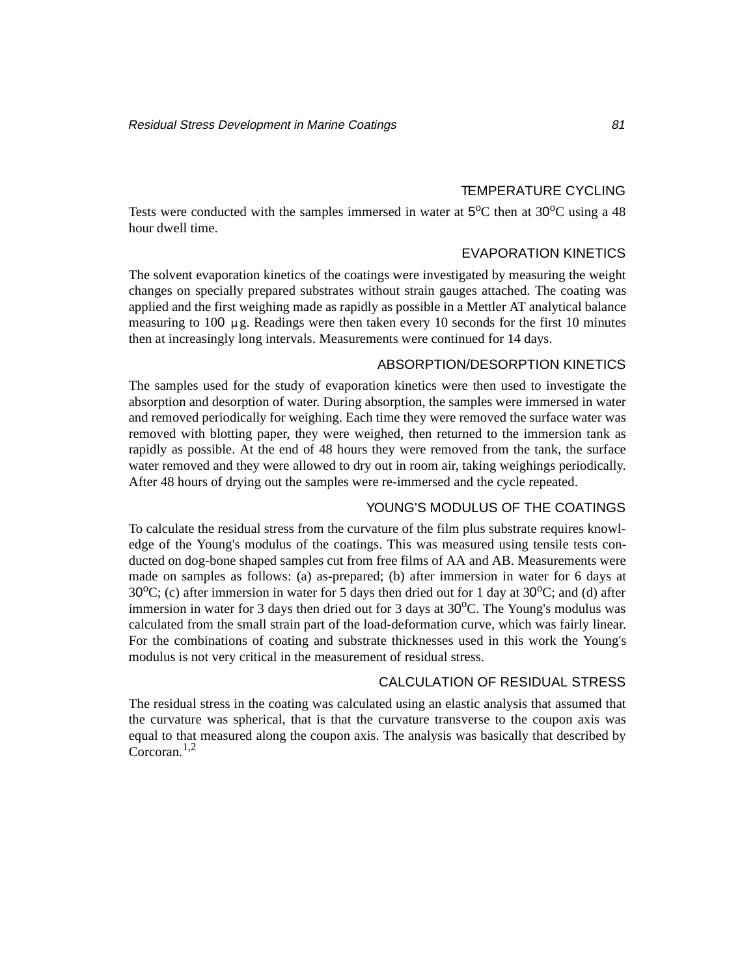## TEMPERATURE CYCLING

Tests were conducted with the samples immersed in water at  $5^{\circ}$ C then at  $30^{\circ}$ C using a 48 hour dwell time.

### EVAPORATION KINETICS

The solvent evaporation kinetics of the coatings were investigated by measuring the weight changes on specially prepared substrates without strain gauges attached. The coating was applied and the first weighing made as rapidly as possible in a Mettler AT analytical balance measuring to  $100 \mu$ g. Readings were then taken every 10 seconds for the first 10 minutes then at increasingly long intervals. Measurements were continued for 14 days.

### ABSORPTION/DESORPTION KINETICS

The samples used for the study of evaporation kinetics were then used to investigate the absorption and desorption of water. During absorption, the samples were immersed in water and removed periodically for weighing. Each time they were removed the surface water was removed with blotting paper, they were weighed, then returned to the immersion tank as rapidly as possible. At the end of 48 hours they were removed from the tank, the surface water removed and they were allowed to dry out in room air, taking weighings periodically. After 48 hours of drying out the samples were re-immersed and the cycle repeated.

### YOUNG'S MODULUS OF THE COATINGS

To calculate the residual stress from the curvature of the film plus substrate requires knowledge of the Young's modulus of the coatings. This was measured using tensile tests conducted on dog-bone shaped samples cut from free films of AA and AB. Measurements were made on samples as follows: (a) as-prepared; (b) after immersion in water for 6 days at 30<sup>o</sup>C; (c) after immersion in water for 5 days then dried out for 1 day at 30<sup>o</sup>C; and (d) after immersion in water for 3 days then dried out for 3 days at 30°C. The Young's modulus was calculated from the small strain part of the load-deformation curve, which was fairly linear. For the combinations of coating and substrate thicknesses used in this work the Young's modulus is not very critical in the measurement of residual stress.

### CALCULATION OF RESIDUAL STRESS

The residual stress in the coating was calculated using an elastic analysis that assumed that the curvature was spherical, that is that the curvature transverse to the coupon axis was equal to that measured along the coupon axis. The analysis was basically that described by Corcoran.<sup>1,2</sup>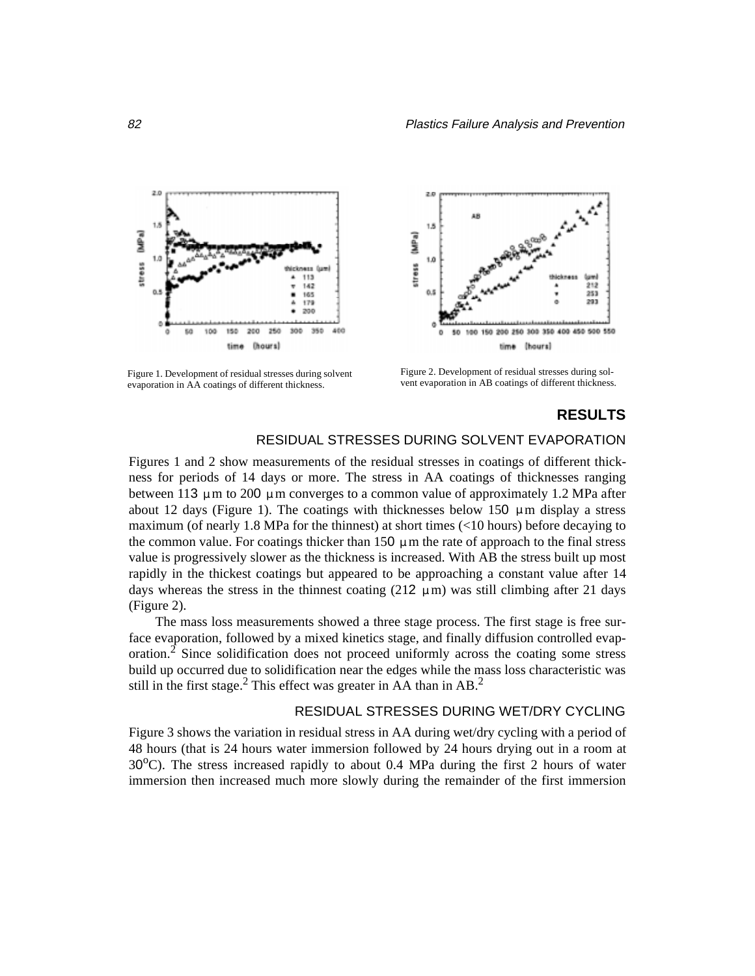Figure 1. Development of residual stresses during solvent evaporation in AA coatings of different thickness.

Figure 2. Development of residual stresses during solvent evaporation in AB coatings of different thickness.

## **RESULTS**

### RESIDUAL STRESSES DURING SOLVENT EVAPORATION

Figures 1 and 2 show measurements of the residual stresses in coatings of different thickness for periods of 14 days or more. The stress in AA coatings of thicknesses ranging between 113  $\mu$  m to 200  $\mu$  m converges to a common value of approximately 1.2 MPa after about 12 days (Figure 1). The coatings with thicknesses below 150  $\mu$ m display a stress maximum (of nearly 1.8 MPa for the thinnest) at short times (<10 hours) before decaying to the common value. For coatings thicker than  $150 \mu$  m the rate of approach to the final stress value is progressively slower as the thickness is increased. With AB the stress built up most rapidly in the thickest coatings but appeared to be approaching a constant value after 14 days whereas the stress in the thinnest coating  $(212 \mu m)$  was still climbing after 21 days (Figure 2).

The mass loss measurements showed a three stage process. The first stage is free surface evaporation, followed by a mixed kinetics stage, and finally diffusion controlled evaporation.<sup>2</sup> Since solidification does not proceed uniformly across the coating some stress build up occurred due to solidification near the edges while the mass loss characteristic was still in the first stage.<sup>2</sup> This effect was greater in AA than in  $AB$ .<sup>2</sup>

### RESIDUAL STRESSES DURING WET/DRY CYCLING

Figure 3 shows the variation in residual stress in AA during wet/dry cycling with a period of 48 hours (that is 24 hours water immersion followed by 24 hours drying out in a room at 30<sup>o</sup>C). The stress increased rapidly to about 0.4 MPa during the first 2 hours of water immersion then increased much more slowly during the remainder of the first immersion



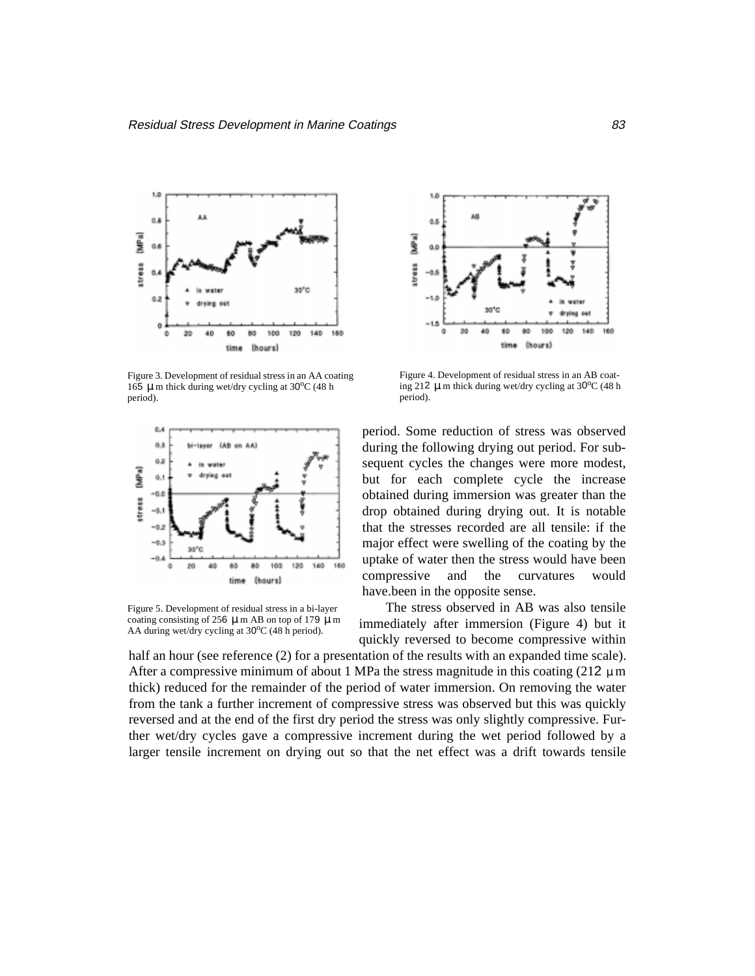

Figure 3. Development of residual stress in an AA coating 165  $\mu$  m thick during wet/dry cycling at 30°C (48 h period).



Figure 5. Development of residual stress in a bi-layer coating consisting of 256  $\mu$  m AB on top of 179  $\mu$  m AA during wet/dry cycling at  $30^{\circ}$ C (48 h period).



Figure 4. Development of residual stress in an AB coating 212  $\mu$  m thick during wet/dry cycling at 30°C (48 h period).

period. Some reduction of stress was observed during the following drying out period. For subsequent cycles the changes were more modest, but for each complete cycle the increase obtained during immersion was greater than the drop obtained during drying out. It is notable that the stresses recorded are all tensile: if the major effect were swelling of the coating by the uptake of water then the stress would have been compressive and the curvatures would have.been in the opposite sense.

The stress observed in AB was also tensile immediately after immersion (Figure 4) but it quickly reversed to become compressive within

half an hour (see reference (2) for a presentation of the results with an expanded time scale). After a compressive minimum of about 1 MPa the stress magnitude in this coating  $(212 \mu m)$ thick) reduced for the remainder of the period of water immersion. On removing the water from the tank a further increment of compressive stress was observed but this was quickly reversed and at the end of the first dry period the stress was only slightly compressive. Further wet/dry cycles gave a compressive increment during the wet period followed by a larger tensile increment on drying out so that the net effect was a drift towards tensile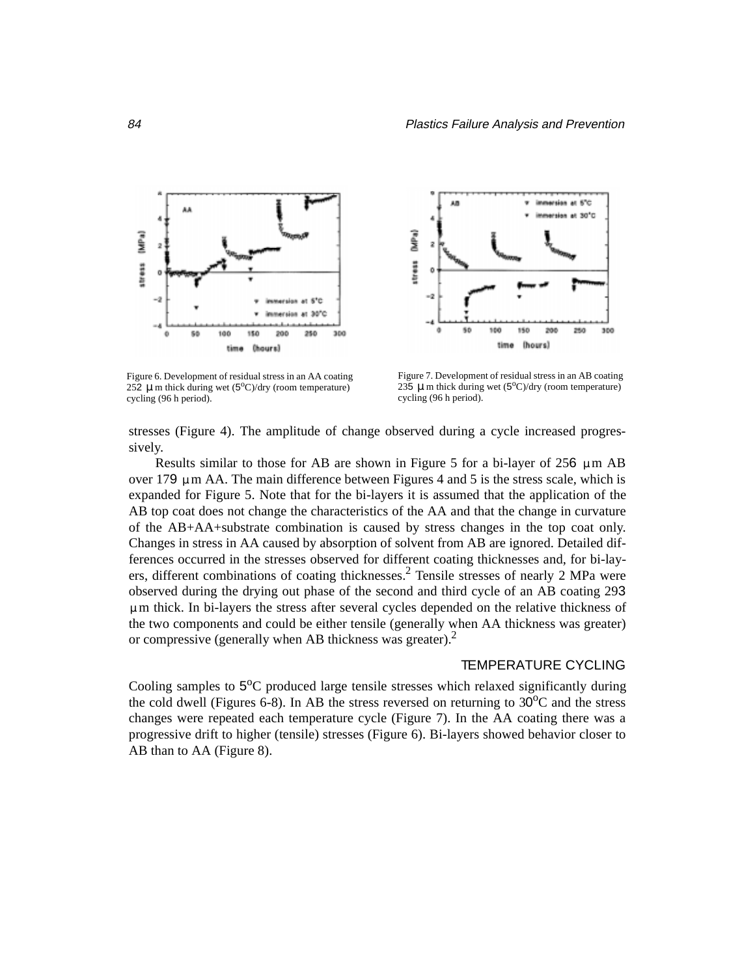



Figure 6. Development of residual stress in an AA coating  $252 \mu$  m thick during wet  $(5^{\circ}C)/dy$  (room temperature) cycling (96 h period).

Figure 7. Development of residual stress in an AB coating 235  $\mu$  m thick during wet (5°C)/dry (room temperature) cycling (96 h period).

stresses (Figure 4). The amplitude of change observed during a cycle increased progressively.

Results similar to those for AB are shown in Figure 5 for a bi-layer of 256  $\mu$ m AB over 179  $\mu$  m AA. The main difference between Figures 4 and 5 is the stress scale, which is expanded for Figure 5. Note that for the bi-layers it is assumed that the application of the AB top coat does not change the characteristics of the AA and that the change in curvature of the AB+AA+substrate combination is caused by stress changes in the top coat only. Changes in stress in AA caused by absorption of solvent from AB are ignored. Detailed differences occurred in the stresses observed for different coating thicknesses and, for bi-layers, different combinations of coating thicknesses.<sup>2</sup> Tensile stresses of nearly 2 MPa were observed during the drying out phase of the second and third cycle of an AB coating 293 m thick. In bi-layers the stress after several cycles depended on the relative thickness of µ the two components and could be either tensile (generally when AA thickness was greater) or compressive (generally when AB thickness was greater).2

#### TEMPERATURE CYCLING

Cooling samples to  $5^{\circ}$ C produced large tensile stresses which relaxed significantly during the cold dwell (Figures 6-8). In AB the stress reversed on returning to  $30^{\circ}$ C and the stress changes were repeated each temperature cycle (Figure 7). In the AA coating there was a progressive drift to higher (tensile) stresses (Figure 6). Bi-layers showed behavior closer to AB than to AA (Figure 8).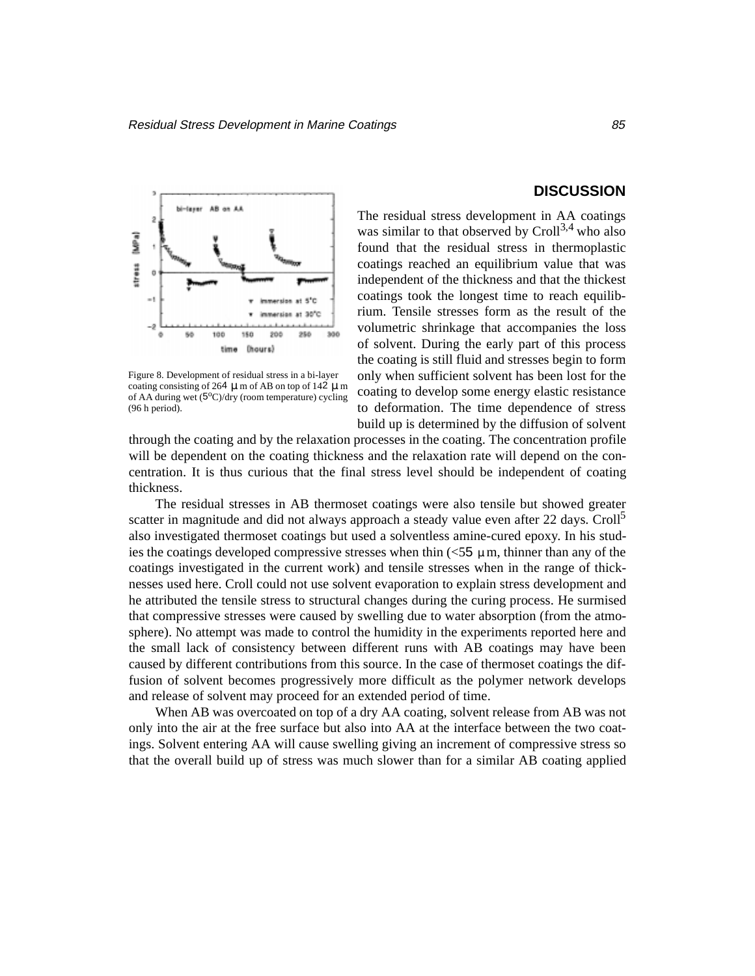

Figure 8. Development of residual stress in a bi-layer coating consisting of 264  $\mu$  m of AB on top of 142  $\mu$  m of AA during wet  $(5^{\circ}C)/dry$  (room temperature) cycling (96 h period).

### **DISCUSSION**

The residual stress development in AA coatings was similar to that observed by Croll<sup>3,4</sup> who also found that the residual stress in thermoplastic coatings reached an equilibrium value that was independent of the thickness and that the thickest coatings took the longest time to reach equilibrium. Tensile stresses form as the result of the volumetric shrinkage that accompanies the loss of solvent. During the early part of this process the coating is still fluid and stresses begin to form only when sufficient solvent has been lost for the coating to develop some energy elastic resistance to deformation. The time dependence of stress build up is determined by the diffusion of solvent

through the coating and by the relaxation processes in the coating. The concentration profile will be dependent on the coating thickness and the relaxation rate will depend on the concentration. It is thus curious that the final stress level should be independent of coating thickness.

The residual stresses in AB thermoset coatings were also tensile but showed greater scatter in magnitude and did not always approach a steady value even after 22 days. Croll<sup>5</sup> also investigated thermoset coatings but used a solventless amine-cured epoxy. In his studies the coatings developed compressive stresses when thin  $\langle 55 \mu \text{m}$ , thinner than any of the coatings investigated in the current work) and tensile stresses when in the range of thicknesses used here. Croll could not use solvent evaporation to explain stress development and he attributed the tensile stress to structural changes during the curing process. He surmised that compressive stresses were caused by swelling due to water absorption (from the atmosphere). No attempt was made to control the humidity in the experiments reported here and the small lack of consistency between different runs with AB coatings may have been caused by different contributions from this source. In the case of thermoset coatings the diffusion of solvent becomes progressively more difficult as the polymer network develops and release of solvent may proceed for an extended period of time.

When AB was overcoated on top of a dry AA coating, solvent release from AB was not only into the air at the free surface but also into AA at the interface between the two coatings. Solvent entering AA will cause swelling giving an increment of compressive stress so that the overall build up of stress was much slower than for a similar AB coating applied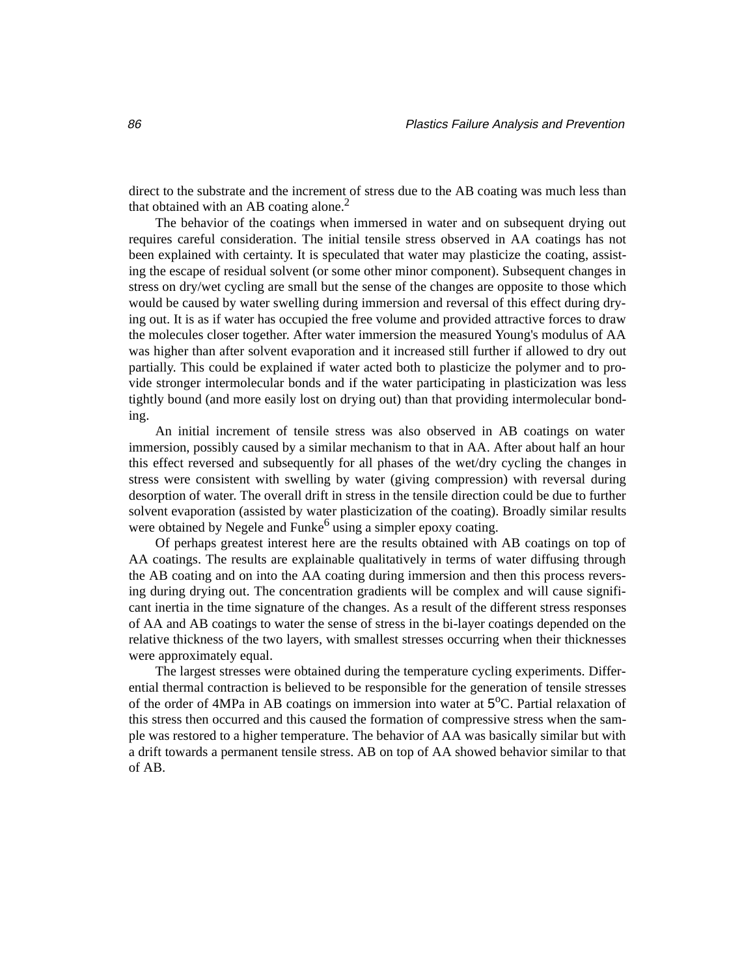direct to the substrate and the increment of stress due to the AB coating was much less than that obtained with an AB coating alone.<sup>2</sup>

The behavior of the coatings when immersed in water and on subsequent drying out requires careful consideration. The initial tensile stress observed in AA coatings has not been explained with certainty. It is speculated that water may plasticize the coating, assisting the escape of residual solvent (or some other minor component). Subsequent changes in stress on dry/wet cycling are small but the sense of the changes are opposite to those which would be caused by water swelling during immersion and reversal of this effect during drying out. It is as if water has occupied the free volume and provided attractive forces to draw the molecules closer together. After water immersion the measured Young's modulus of AA was higher than after solvent evaporation and it increased still further if allowed to dry out partially. This could be explained if water acted both to plasticize the polymer and to provide stronger intermolecular bonds and if the water participating in plasticization was less tightly bound (and more easily lost on drying out) than that providing intermolecular bonding.

An initial increment of tensile stress was also observed in AB coatings on water immersion, possibly caused by a similar mechanism to that in AA. After about half an hour this effect reversed and subsequently for all phases of the wet/dry cycling the changes in stress were consistent with swelling by water (giving compression) with reversal during desorption of water. The overall drift in stress in the tensile direction could be due to further solvent evaporation (assisted by water plasticization of the coating). Broadly similar results were obtained by Negele and Funke<sup>6</sup> using a simpler epoxy coating.

Of perhaps greatest interest here are the results obtained with AB coatings on top of AA coatings. The results are explainable qualitatively in terms of water diffusing through the AB coating and on into the AA coating during immersion and then this process reversing during drying out. The concentration gradients will be complex and will cause significant inertia in the time signature of the changes. As a result of the different stress responses of AA and AB coatings to water the sense of stress in the bi-layer coatings depended on the relative thickness of the two layers, with smallest stresses occurring when their thicknesses were approximately equal.

The largest stresses were obtained during the temperature cycling experiments. Differential thermal contraction is believed to be responsible for the generation of tensile stresses of the order of 4MPa in AB coatings on immersion into water at 5<sup>o</sup>C. Partial relaxation of this stress then occurred and this caused the formation of compressive stress when the sample was restored to a higher temperature. The behavior of AA was basically similar but with a drift towards a permanent tensile stress. AB on top of AA showed behavior similar to that of AB.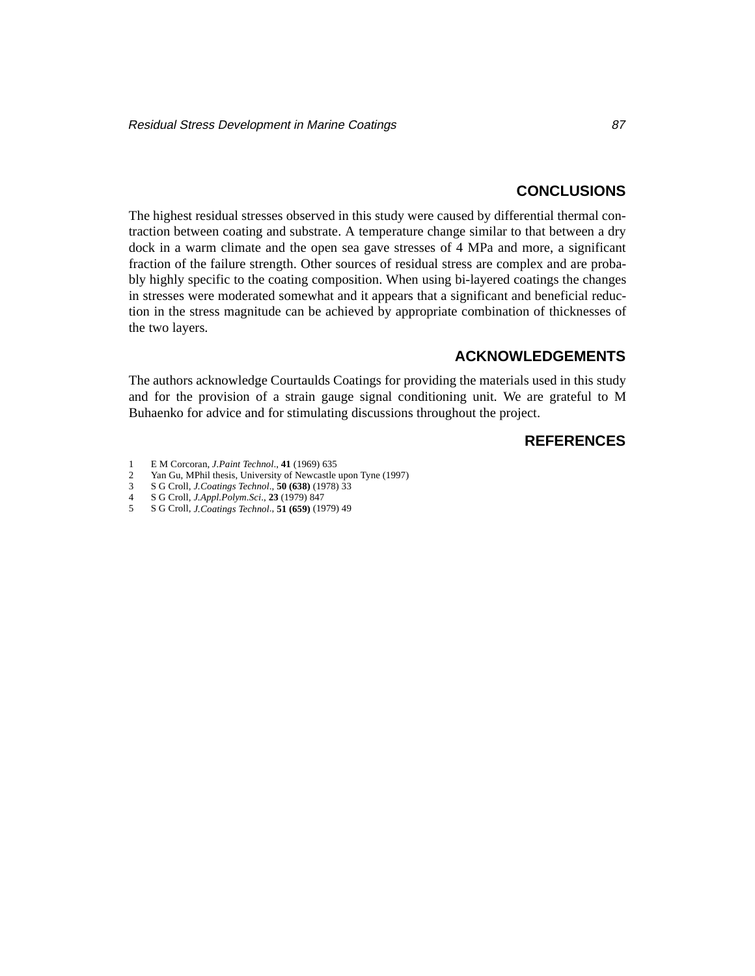The highest residual stresses observed in this study were caused by differential thermal contraction between coating and substrate. A temperature change similar to that between a dry dock in a warm climate and the open sea gave stresses of 4 MPa and more, a significant fraction of the failure strength. Other sources of residual stress are complex and are probably highly specific to the coating composition. When using bi-layered coatings the changes in stresses were moderated somewhat and it appears that a significant and beneficial reduction in the stress magnitude can be achieved by appropriate combination of thicknesses of the two layers.

# **ACKNOWLEDGEMENTS**

The authors acknowledge Courtaulds Coatings for providing the materials used in this study and for the provision of a strain gauge signal conditioning unit. We are grateful to M Buhaenko for advice and for stimulating discussions throughout the project.

# **REFERENCES**

- 1 E M Corcoran, *J.Paint Technol*., **41** (1969) 635
- 2 Yan Gu, MPhil thesis, University of Newcastle upon Tyne (1997)
- 3 S G Croll, *J.Coatings Technol*., **50 (638)** (1978) 33
- 4 S G Croll, *J.Appl.Polym.Sci*., **23** (1979) 847
- 5 S G Croll, *J.Coatings Technol*., **51 (659)** (1979) 49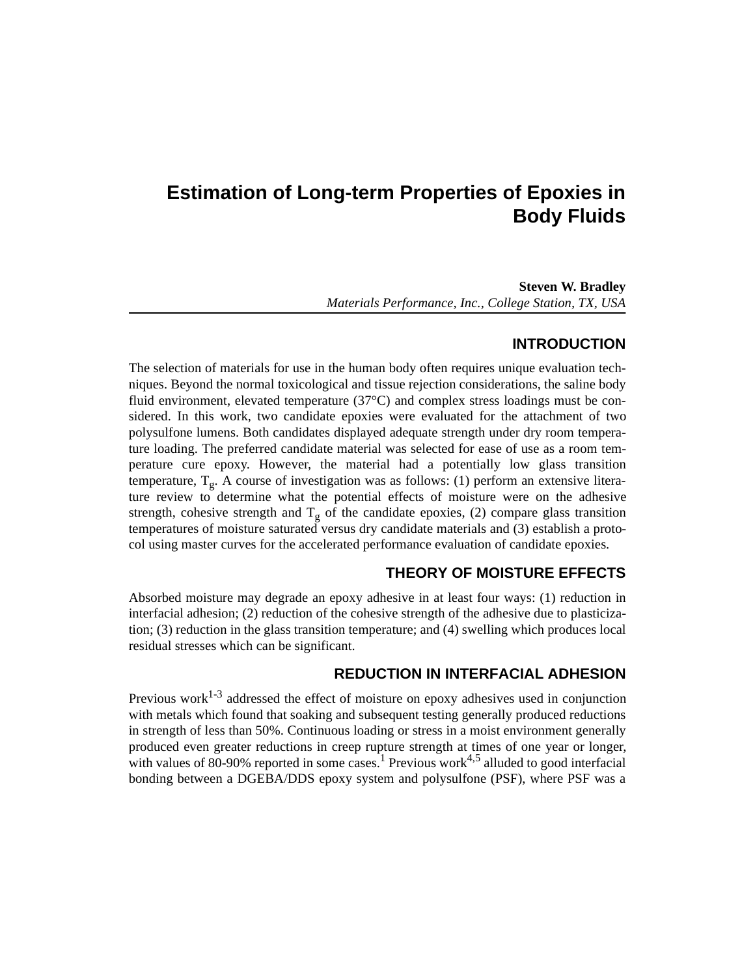# **Estimation of Long-term Properties of Epoxies in Body Fluids**

**Steven W. Bradley** *Materials Performance, Inc., College Station, TX, USA*

## **INTRODUCTION**

The selection of materials for use in the human body often requires unique evaluation techniques. Beyond the normal toxicological and tissue rejection considerations, the saline body fluid environment, elevated temperature (37°C) and complex stress loadings must be considered. In this work, two candidate epoxies were evaluated for the attachment of two polysulfone lumens. Both candidates displayed adequate strength under dry room temperature loading. The preferred candidate material was selected for ease of use as a room temperature cure epoxy. However, the material had a potentially low glass transition temperature,  $T_g$ . A course of investigation was as follows: (1) perform an extensive literature review to determine what the potential effects of moisture were on the adhesive strength, cohesive strength and  $T_g$  of the candidate epoxies, (2) compare glass transition temperatures of moisture saturated versus dry candidate materials and (3) establish a protocol using master curves for the accelerated performance evaluation of candidate epoxies.

# **THEORY OF MOISTURE EFFECTS**

Absorbed moisture may degrade an epoxy adhesive in at least four ways: (1) reduction in interfacial adhesion; (2) reduction of the cohesive strength of the adhesive due to plasticization; (3) reduction in the glass transition temperature; and (4) swelling which produces local residual stresses which can be significant.

## **REDUCTION IN INTERFACIAL ADHESION**

Previous work<sup>1-3</sup> addressed the effect of moisture on epoxy adhesives used in conjunction with metals which found that soaking and subsequent testing generally produced reductions in strength of less than 50%. Continuous loading or stress in a moist environment generally produced even greater reductions in creep rupture strength at times of one year or longer, with values of 80-90% reported in some cases.<sup>1</sup> Previous work<sup>4,5</sup> alluded to good interfacial bonding between a DGEBA/DDS epoxy system and polysulfone (PSF), where PSF was a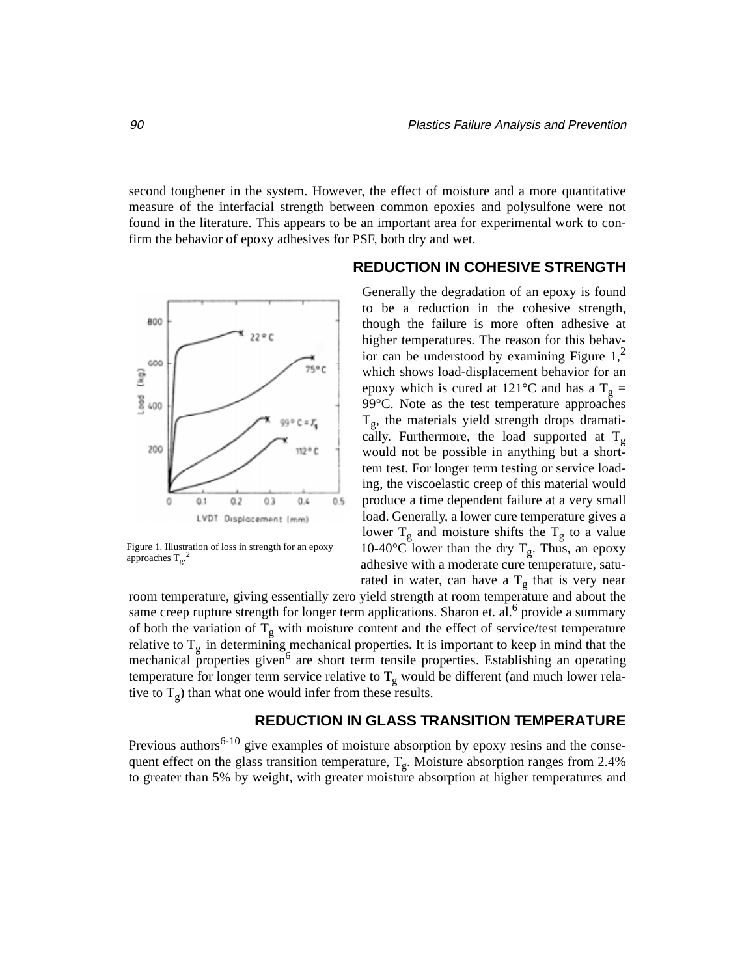second toughener in the system. However, the effect of moisture and a more quantitative measure of the interfacial strength between common epoxies and polysulfone were not found in the literature. This appears to be an important area for experimental work to confirm the behavior of epoxy adhesives for PSF, both dry and wet.



Figure 1. Illustration of loss in strength for an epoxy approaches  $T_g^2$ .

### **REDUCTION IN COHESIVE STRENGTH**

Generally the degradation of an epoxy is found to be a reduction in the cohesive strength, though the failure is more often adhesive at higher temperatures. The reason for this behavior can be understood by examining Figure  $1<sup>2</sup>$ which shows load-displacement behavior for an epoxy which is cured at 121 $\degree$ C and has a T<sub>o</sub> = 99°C. Note as the test temperature approaches  $T_{g}$ , the materials yield strength drops dramatically. Furthermore, the load supported at  $T_g$ would not be possible in anything but a shorttem test. For longer term testing or service loading, the viscoelastic creep of this material would produce a time dependent failure at a very small load. Generally, a lower cure temperature gives a lower  $T_g$  and moisture shifts the  $T_g$  to a value 10-40 $^{\circ}$ C lower than the dry T<sub>o</sub>. Thus, an epoxy adhesive with a moderate cure temperature, saturated in water, can have a  $T_g$  that is very near

room temperature, giving essentially zero yield strength at room temperature and about the same creep rupture strength for longer term applications. Sharon et. al.<sup>6</sup> provide a summary of both the variation of  $T_g$  with moisture content and the effect of service/test temperature relative to  $T_g$  in determining mechanical properties. It is important to keep in mind that the mechanical properties given<sup>6</sup> are short term tensile properties. Establishing an operating temperature for longer term service relative to  $T_g$  would be different (and much lower relative to  $T_g$ ) than what one would infer from these results.

## **REDUCTION IN GLASS TRANSITION TEMPERATURE**

Previous authors<sup>6-10</sup> give examples of moisture absorption by epoxy resins and the consequent effect on the glass transition temperature,  $T_g$ . Moisture absorption ranges from 2.4% to greater than 5% by weight, with greater moisture absorption at higher temperatures and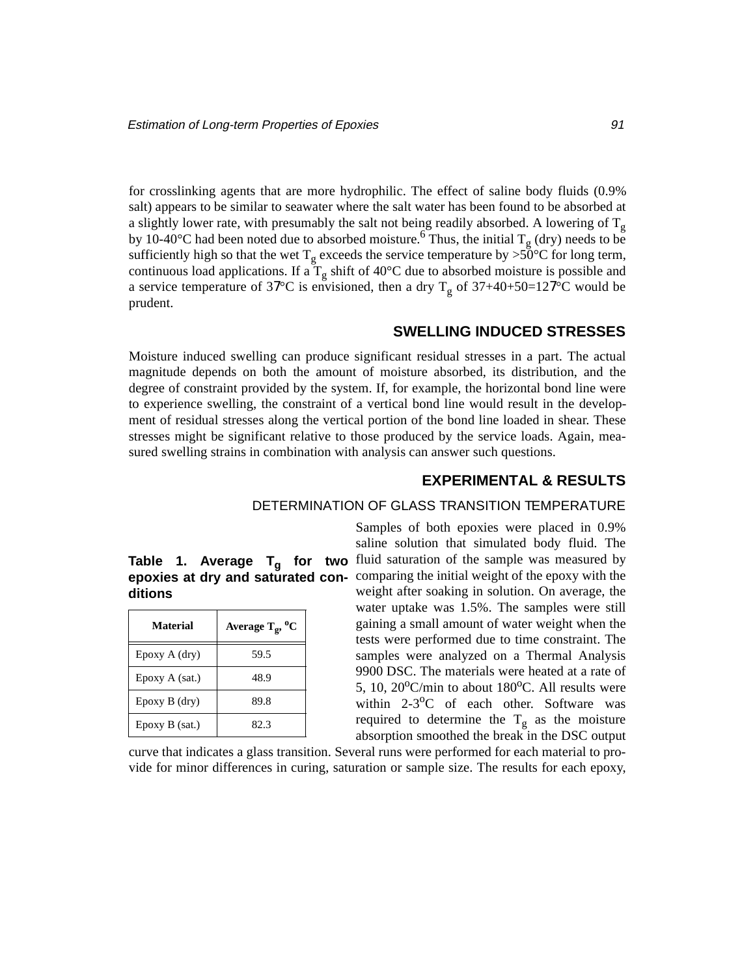for crosslinking agents that are more hydrophilic. The effect of saline body fluids (0.9% salt) appears to be similar to seawater where the salt water has been found to be absorbed at a slightly lower rate, with presumably the salt not being readily absorbed. A lowering of  $T_g$ by 10-40°C had been noted due to absorbed moisture.<sup>6</sup> Thus, the initial T<sub>g</sub> (dry) needs to be sufficiently high so that the wet  $T_g$  exceeds the service temperature by  $>50^{\circ}$ C for long term, continuous load applications. If  $\mathbf{a}^T\mathbf{g}$  shift of 40°C due to absorbed moisture is possible and a service temperature of 37°C is envisioned, then a dry  $T_g$  of 37+40+50=127°C would be prudent.

### **SWELLING INDUCED STRESSES**

Moisture induced swelling can produce significant residual stresses in a part. The actual magnitude depends on both the amount of moisture absorbed, its distribution, and the degree of constraint provided by the system. If, for example, the horizontal bond line were to experience swelling, the constraint of a vertical bond line would result in the development of residual stresses along the vertical portion of the bond line loaded in shear. These stresses might be significant relative to those produced by the service loads. Again, measured swelling strains in combination with analysis can answer such questions.

## **EXPERIMENTAL & RESULTS**

### DETERMINATION OF GLASS TRANSITION TEMPERATURE

### **Table 1. Average Tg for two epoxies at dry and saturated conditions**

| <b>Material</b> | Average $T_g$ , <sup>o</sup> C |
|-----------------|--------------------------------|
| Epoxy A (dry)   | 59.5                           |
| Epoxy A (sat.)  | 48.9                           |
| Epoxy B (dry)   | 89.8                           |
| Epoxy B (sat.)  | 82.3                           |

Samples of both epoxies were placed in 0.9% saline solution that simulated body fluid. The fluid saturation of the sample was measured by comparing the initial weight of the epoxy with the weight after soaking in solution. On average, the water uptake was 1.5%. The samples were still gaining a small amount of water weight when the tests were performed due to time constraint. The samples were analyzed on a Thermal Analysis 9900 DSC. The materials were heated at a rate of 5, 10,  $20^{\circ}$ C/min to about 180 $^{\circ}$ C. All results were within  $2-3$ <sup>o</sup>C of each other. Software was required to determine the  $T_{\sigma}$  as the moisture absorption smoothed the break in the DSC output

curve that indicates a glass transition. Several runs were performed for each material to provide for minor differences in curing, saturation or sample size. The results for each epoxy,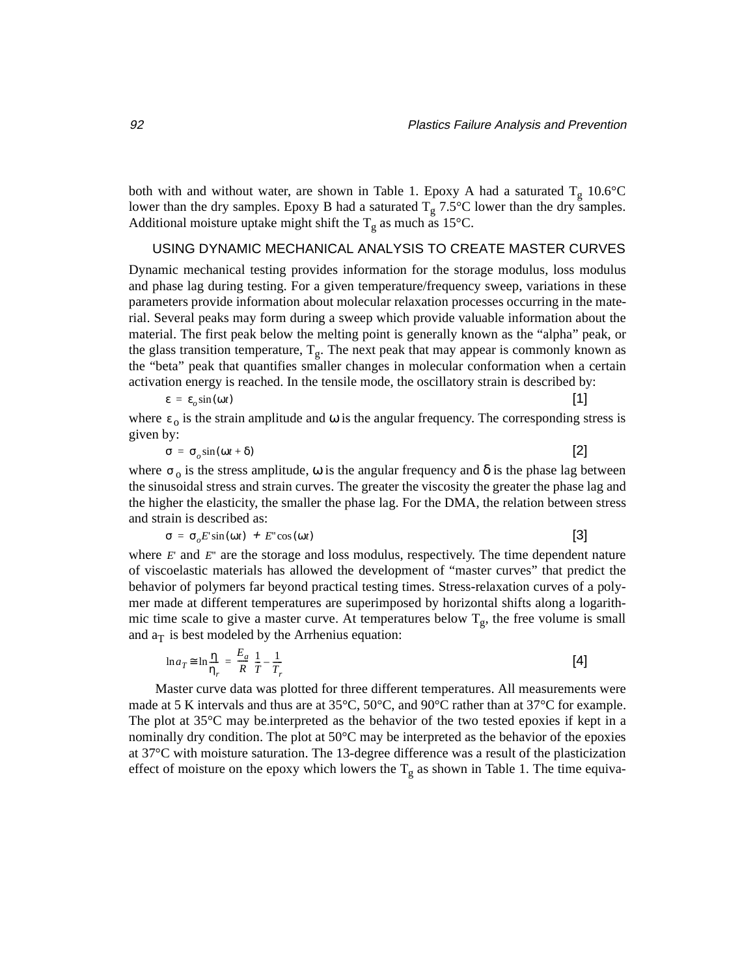both with and without water, are shown in Table 1. Epoxy A had a saturated  $T_g$  10.6°C lower than the dry samples. Epoxy B had a saturated  $T_g$  7.5°C lower than the dry samples. Additional moisture uptake might shift the  $T_g$  as much as 15°C.

### USING DYNAMIC MECHANICAL ANALYSIS TO CREATE MASTER CURVES

Dynamic mechanical testing provides information for the storage modulus, loss modulus and phase lag during testing. For a given temperature/frequency sweep, variations in these parameters provide information about molecular relaxation processes occurring in the material. Several peaks may form during a sweep which provide valuable information about the material. The first peak below the melting point is generally known as the "alpha" peak, or the glass transition temperature,  $T_{g}$ . The next peak that may appear is commonly known as the "beta" peak that quantifies smaller changes in molecular conformation when a certain activation energy is reached. In the tensile mode, the oscillatory strain is described by:

$$
\varepsilon = \varepsilon_o \sin(\omega t) \tag{1}
$$

where  $\varepsilon_0$  is the strain amplitude and  $\omega$  is the angular frequency. The corresponding stress is given by:

$$
\sigma = \sigma_o \sin(\omega t + \delta) \tag{2}
$$

where  $\sigma_0$  is the stress amplitude,  $\omega$  is the angular frequency and  $\delta$  is the phase lag between the sinusoidal stress and strain curves. The greater the viscosity the greater the phase lag and the higher the elasticity, the smaller the phase lag. For the DMA, the relation between stress and strain is described as:

$$
\sigma = \sigma_o E' \sin(\omega t) + E'' \cos(\omega t)
$$
 [3]

where  $E'$  and  $E''$  are the storage and loss modulus, respectively. The time dependent nature of viscoelastic materials has allowed the development of "master curves" that predict the behavior of polymers far beyond practical testing times. Stress-relaxation curves of a polymer made at different temperatures are superimposed by horizontal shifts along a logarithmic time scale to give a master curve. At temperatures below  $T<sub>g</sub>$ , the free volume is small and  $a_T$  is best modeled by the Arrhenius equation:

$$
\ln a_T \approx \ln \frac{\eta}{\eta_r} = \frac{E_a}{R} \left( \frac{1}{T} - \frac{1}{T_r} \right) \tag{4}
$$

Master curve data was plotted for three different temperatures. All measurements were made at 5 K intervals and thus are at 35°C, 50°C, and 90°C rather than at 37°C for example. The plot at  $35^{\circ}$ C may be interpreted as the behavior of the two tested epoxies if kept in a nominally dry condition. The plot at 50°C may be interpreted as the behavior of the epoxies at 37°C with moisture saturation. The 13-degree difference was a result of the plasticization effect of moisture on the epoxy which lowers the  $T_g$  as shown in Table 1. The time equiva-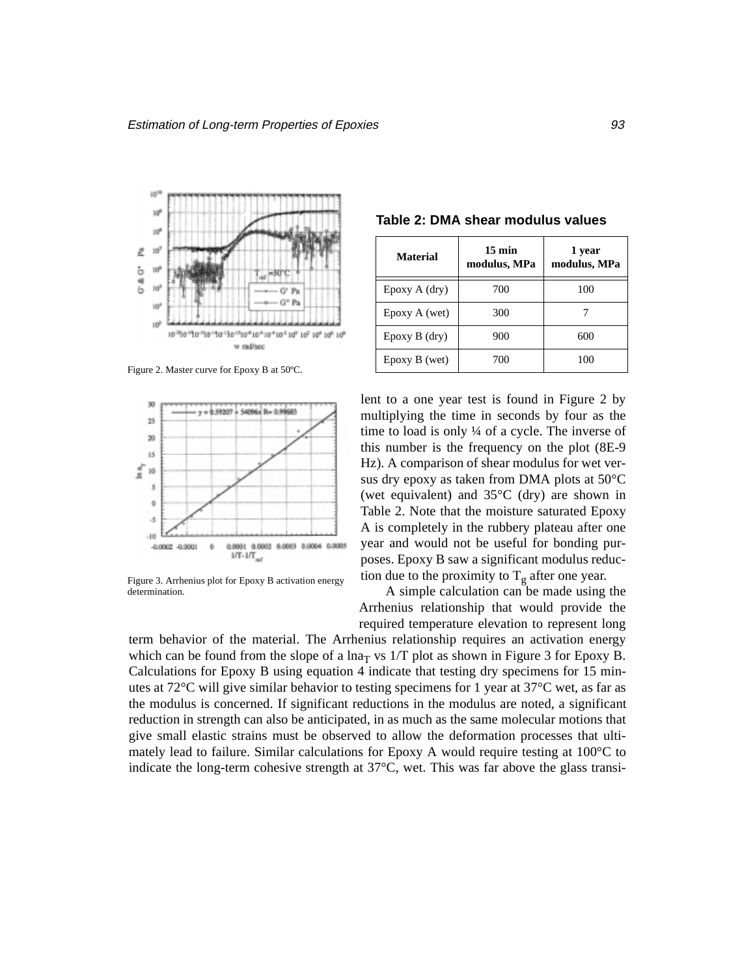

Figure 2. Master curve for Epoxy B at 50ºC.



Figure 3. Arrhenius plot for Epoxy B activation energy determination.

| Material           | $15 \text{ min}$<br>modulus, MPa | 1 year<br>modulus, MPa |
|--------------------|----------------------------------|------------------------|
| Epoxy A (dry)      | 700                              | 100                    |
| Epoxy A (wet)      | 300                              |                        |
| $E$ poxy $B$ (dry) | 900                              | 600                    |
| $E$ poxy $B$ (wet) | 700                              | 100                    |

#### **Table 2: DMA shear modulus values**

lent to a one year test is found in Figure 2 by multiplying the time in seconds by four as the time to load is only ¼ of a cycle. The inverse of this number is the frequency on the plot (8E-9 Hz). A comparison of shear modulus for wet versus dry epoxy as taken from DMA plots at 50°C (wet equivalent) and 35°C (dry) are shown in Table 2. Note that the moisture saturated Epoxy A is completely in the rubbery plateau after one year and would not be useful for bonding purposes. Epoxy B saw a significant modulus reduction due to the proximity to  $T_{\sigma}$  after one year.

A simple calculation can be made using the Arrhenius relationship that would provide the required temperature elevation to represent long

term behavior of the material. The Arrhenius relationship requires an activation energy which can be found from the slope of a  $\ln a_T$  vs 1/T plot as shown in Figure 3 for Epoxy B. Calculations for Epoxy B using equation 4 indicate that testing dry specimens for 15 minutes at 72°C will give similar behavior to testing specimens for 1 year at 37°C wet, as far as the modulus is concerned. If significant reductions in the modulus are noted, a significant reduction in strength can also be anticipated, in as much as the same molecular motions that give small elastic strains must be observed to allow the deformation processes that ultimately lead to failure. Similar calculations for Epoxy A would require testing at 100°C to indicate the long-term cohesive strength at 37°C, wet. This was far above the glass transi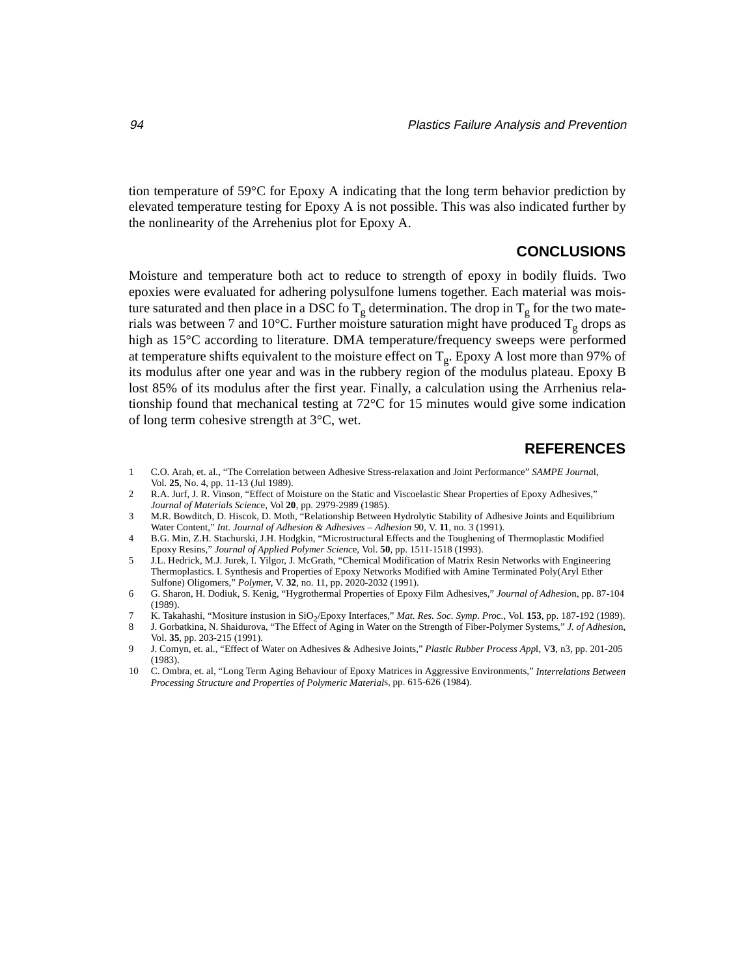tion temperature of 59°C for Epoxy A indicating that the long term behavior prediction by elevated temperature testing for Epoxy A is not possible. This was also indicated further by the nonlinearity of the Arrehenius plot for Epoxy A.

## **CONCLUSIONS**

Moisture and temperature both act to reduce to strength of epoxy in bodily fluids. Two epoxies were evaluated for adhering polysulfone lumens together. Each material was moisture saturated and then place in a DSC fo  $T_g$  determination. The drop in  $T_g$  for the two materials was between 7 and 10°C. Further moisture saturation might have produced  $T_g$  drops as high as 15°C according to literature. DMA temperature/frequency sweeps were performed at temperature shifts equivalent to the moisture effect on  $T_g$ . Epoxy A lost more than 97% of its modulus after one year and was in the rubbery region of the modulus plateau. Epoxy B lost 85% of its modulus after the first year. Finally, a calculation using the Arrhenius relationship found that mechanical testing at 72°C for 15 minutes would give some indication of long term cohesive strength at 3°C, wet.

## **REFERENCES**

- 1 C.O. Arah, et. al., "The Correlation between Adhesive Stress-relaxation and Joint Performance" *SAMPE Journa*l, Vol. **25**, No. 4, pp. 11-13 (Jul 1989).
- 2 R.A. Jurf, J. R. Vinson, "Effect of Moisture on the Static and Viscoelastic Shear Properties of Epoxy Adhesives," *Journal of Materials Scienc*e, Vol **20**, pp. 2979-2989 (1985).
- 3 M.R. Bowditch, D. Hiscok, D. Moth, "Relationship Between Hydrolytic Stability of Adhesive Joints and Equilibrium Water Content," *Int. Journal of Adhesion & Adhesives – Adhesion 9*0, V. **11**, no. 3 (1991).
- 4 B.G. Min, Z.H. Stachurski, J.H. Hodgkin, "Microstructural Effects and the Toughening of Thermoplastic Modified Epoxy Resins," *Journal of Applied Polymer Scienc*e, Vol. **50**, pp. 1511-1518 (1993).
- 5 J.L. Hedrick, M.J. Jurek, I. Yilgor, J. McGrath, "Chemical Modification of Matrix Resin Networks with Engineering Thermoplastics. I. Synthesis and Properties of Epoxy Networks Modified with Amine Terminated Poly(Aryl Ether Sulfone) Oligomers," *Polyme*r, V. **32**, no. 11, pp. 2020-2032 (1991).
- 6 G. Sharon, H. Dodiuk, S. Kenig, "Hygrothermal Properties of Epoxy Film Adhesives," *Journal of Adhesio*n, pp. 87-104 (1989).
- 7 K. Takahashi, "Mositure instusion in SiO<sub>2</sub>/Epoxy Interfaces," *Mat. Res. Soc. Symp. Proc.*, Vol. 153, pp. 187-192 (1989).<br><sup>8</sup> J. Gorbatkina, N. Shaidurova. "The Effect of Aging in Water on the Strength of Fiber-Polymer
- 8 J. Gorbatkina, N. Shaidurova, "The Effect of Aging in Water on the Strength of Fiber-Polymer Systems," *J. of Adhesio*n, Vol. **35**, pp. 203-215 (1991).
- 9 J. Comyn, et. al., "Effect of Water on Adhesives & Adhesive Joints," *Plastic Rubber Process App*l, V**3**, n3, pp. 201-205 (1983).
- 10 C. Ombra, et. al, "Long Term Aging Behaviour of Epoxy Matrices in Aggressive Environments," *Interrelations Between Processing Structure and Properties of Polymeric Material*s, pp. 615-626 (1984).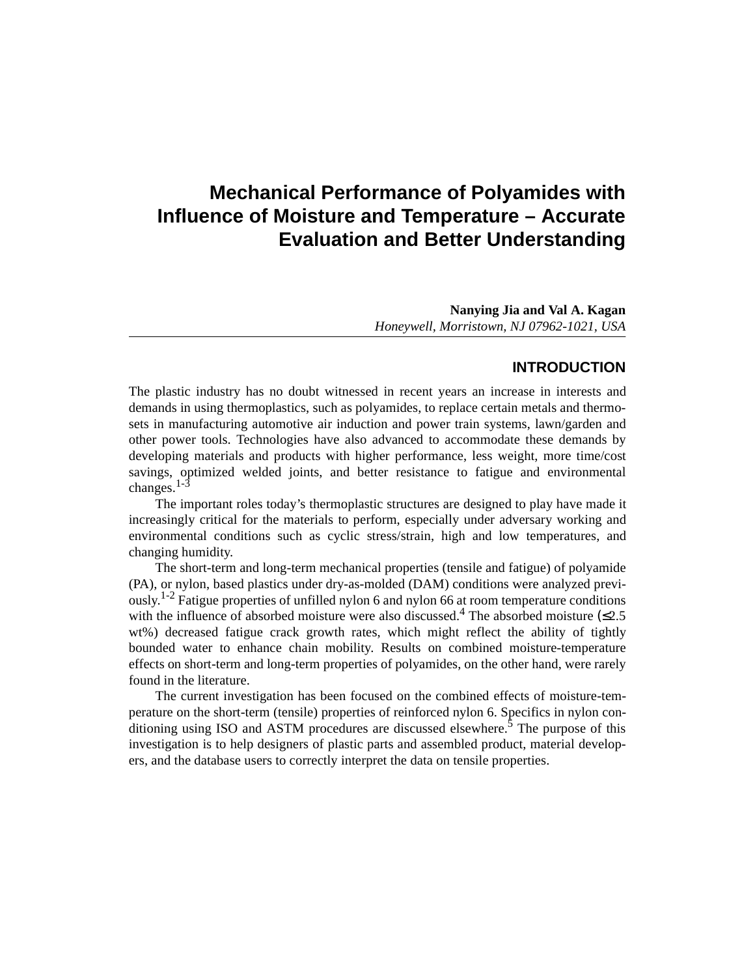# **Mechanical Performance of Polyamides with Influence of Moisture and Temperature – Accurate Evaluation and Better Understanding**

**Nanying Jia and Val A. Kagan** *Honeywell, Morristown, NJ 07962-1021, USA*

### **INTRODUCTION**

The plastic industry has no doubt witnessed in recent years an increase in interests and demands in using thermoplastics, such as polyamides, to replace certain metals and thermosets in manufacturing automotive air induction and power train systems, lawn/garden and other power tools. Technologies have also advanced to accommodate these demands by developing materials and products with higher performance, less weight, more time/cost savings, optimized welded joints, and better resistance to fatigue and environmental changes. $1-3$ 

The important roles today's thermoplastic structures are designed to play have made it increasingly critical for the materials to perform, especially under adversary working and environmental conditions such as cyclic stress/strain, high and low temperatures, and changing humidity.

The short-term and long-term mechanical properties (tensile and fatigue) of polyamide (PA), or nylon, based plastics under dry-as-molded (DAM) conditions were analyzed previously.1-2 Fatigue properties of unfilled nylon 6 and nylon 66 at room temperature conditions with the influence of absorbed moisture were also discussed.<sup>4</sup> The absorbed moisture ( $\leq$ 2.5 wt%) decreased fatigue crack growth rates, which might reflect the ability of tightly bounded water to enhance chain mobility. Results on combined moisture-temperature effects on short-term and long-term properties of polyamides, on the other hand, were rarely found in the literature.

The current investigation has been focused on the combined effects of moisture-temperature on the short-term (tensile) properties of reinforced nylon 6. Specifics in nylon conditioning using ISO and ASTM procedures are discussed elsewhere.<sup>5</sup> The purpose of this investigation is to help designers of plastic parts and assembled product, material developers, and the database users to correctly interpret the data on tensile properties.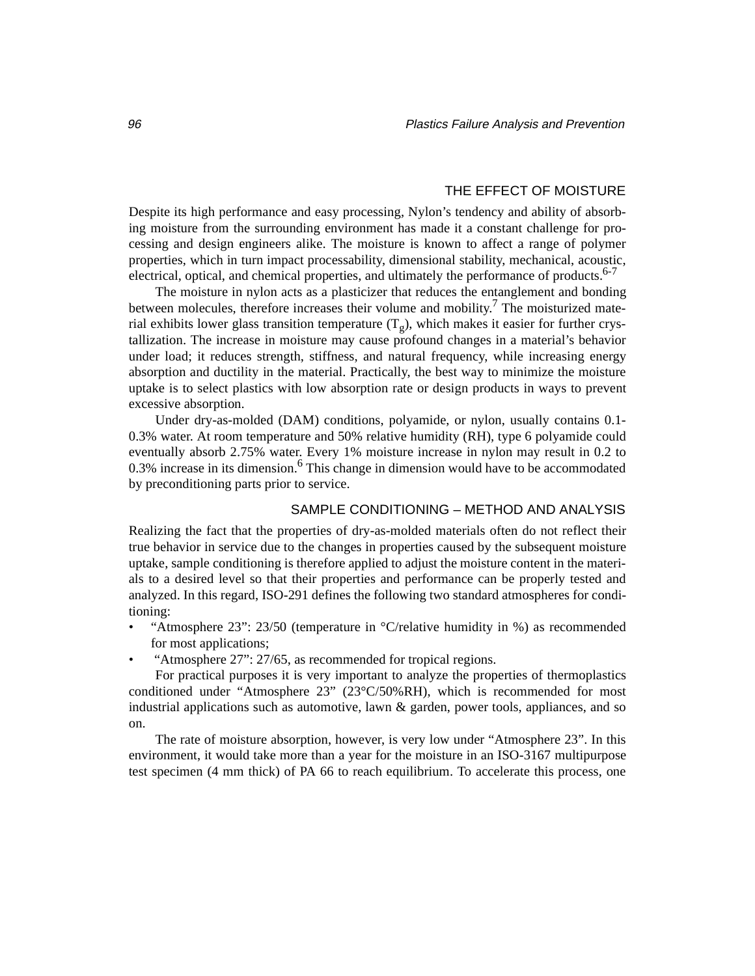### THE EFFECT OF MOISTURE

Despite its high performance and easy processing, Nylon's tendency and ability of absorbing moisture from the surrounding environment has made it a constant challenge for processing and design engineers alike. The moisture is known to affect a range of polymer properties, which in turn impact processability, dimensional stability, mechanical, acoustic, electrical, optical, and chemical properties, and ultimately the performance of products.<sup>6-7</sup>

The moisture in nylon acts as a plasticizer that reduces the entanglement and bonding between molecules, therefore increases their volume and mobility.<sup>7</sup> The moisturized material exhibits lower glass transition temperature  $(T<sub>g</sub>)$ , which makes it easier for further crystallization. The increase in moisture may cause profound changes in a material's behavior under load; it reduces strength, stiffness, and natural frequency, while increasing energy absorption and ductility in the material. Practically, the best way to minimize the moisture uptake is to select plastics with low absorption rate or design products in ways to prevent excessive absorption.

Under dry-as-molded (DAM) conditions, polyamide, or nylon, usually contains 0.1- 0.3% water. At room temperature and 50% relative humidity (RH), type 6 polyamide could eventually absorb 2.75% water. Every 1% moisture increase in nylon may result in 0.2 to 0.3% increase in its dimension.<sup>6</sup> This change in dimension would have to be accommodated by preconditioning parts prior to service.

#### SAMPLE CONDITIONING – METHOD AND ANALYSIS

Realizing the fact that the properties of dry-as-molded materials often do not reflect their true behavior in service due to the changes in properties caused by the subsequent moisture uptake, sample conditioning is therefore applied to adjust the moisture content in the materials to a desired level so that their properties and performance can be properly tested and analyzed. In this regard, ISO-291 defines the following two standard atmospheres for conditioning:

- "Atmosphere 23": 23/50 (temperature in °C/relative humidity in %) as recommended for most applications;
- "Atmosphere 27": 27/65, as recommended for tropical regions.

For practical purposes it is very important to analyze the properties of thermoplastics conditioned under "Atmosphere 23" (23°C/50%RH), which is recommended for most industrial applications such as automotive, lawn & garden, power tools, appliances, and so on.

The rate of moisture absorption, however, is very low under "Atmosphere 23". In this environment, it would take more than a year for the moisture in an ISO-3167 multipurpose test specimen (4 mm thick) of PA 66 to reach equilibrium. To accelerate this process, one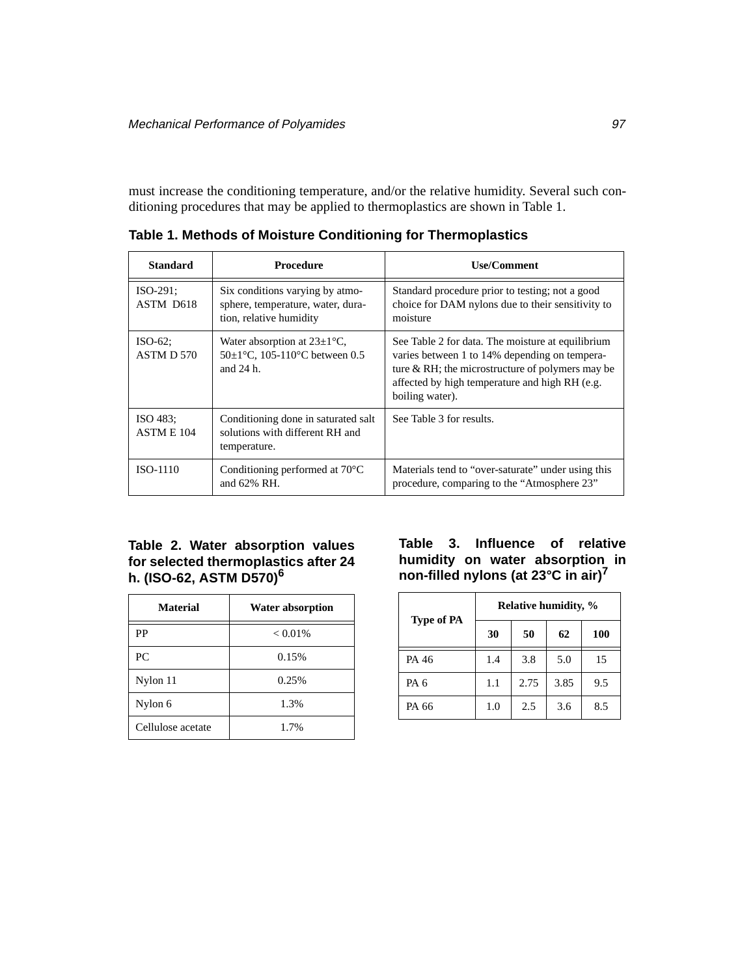must increase the conditioning temperature, and/or the relative humidity. Several such conditioning procedures that may be applied to thermoplastics are shown in Table 1.

| <b>Standard</b>          | <b>Procedure</b>                                                                                | Use/Comment                                                                                                                                                                                                                    |
|--------------------------|-------------------------------------------------------------------------------------------------|--------------------------------------------------------------------------------------------------------------------------------------------------------------------------------------------------------------------------------|
| $ISO-291$ :<br>ASTM D618 | Six conditions varying by atmo-<br>sphere, temperature, water, dura-<br>tion, relative humidity | Standard procedure prior to testing; not a good<br>choice for DAM nylons due to their sensitivity to<br>moisture                                                                                                               |
| $ISO-62$ :<br>ASTM D 570 | Water absorption at $23\pm1^{\circ}C$ ,<br>50±1°C, 105-110°C between 0.5<br>and $24$ h.         | See Table 2 for data. The moisture at equilibrium<br>varies between 1 to 14% depending on tempera-<br>ture $\&$ RH; the microstructure of polymers may be<br>affected by high temperature and high RH (e.g.<br>boiling water). |
| $ISO483$ :<br>ASTM E 104 | Conditioning done in saturated salt<br>solutions with different RH and<br>temperature.          | See Table 3 for results.                                                                                                                                                                                                       |
| ISO-1110                 | Conditioning performed at $70^{\circ}$ C<br>and 62% RH.                                         | Materials tend to "over-saturate" under using this<br>procedure, comparing to the "Atmosphere 23"                                                                                                                              |

**Table 1. Methods of Moisture Conditioning for Thermoplastics**

### **Table 2. Water absorption values for selected thermoplastics after 24 h. (ISO-62, ASTM D570)<sup>6</sup>**

| <b>Material</b>   | <b>Water absorption</b> |
|-------------------|-------------------------|
| PP                | $< 0.01\%$              |
| PC.               | 0.15%                   |
| Nylon 11          | 0.25%                   |
| Nylon 6           | 1.3%                    |
| Cellulose acetate | 1.7%                    |

## **Table 3. Influence of relative humidity on water absorption in non-filled nylons (at 23°C in air)7**

| <b>Type of PA</b> | <b>Relative humidity, %</b> |      |      |     |
|-------------------|-----------------------------|------|------|-----|
|                   | 30                          | 50   | 62   | 100 |
| PA 46             | 1.4                         | 3.8  | 5.0  | 15  |
| PA <sub>6</sub>   | 1.1                         | 2.75 | 3.85 | 9.5 |
| PA 66             | 1.0                         | 2.5  | 3.6  | 8.5 |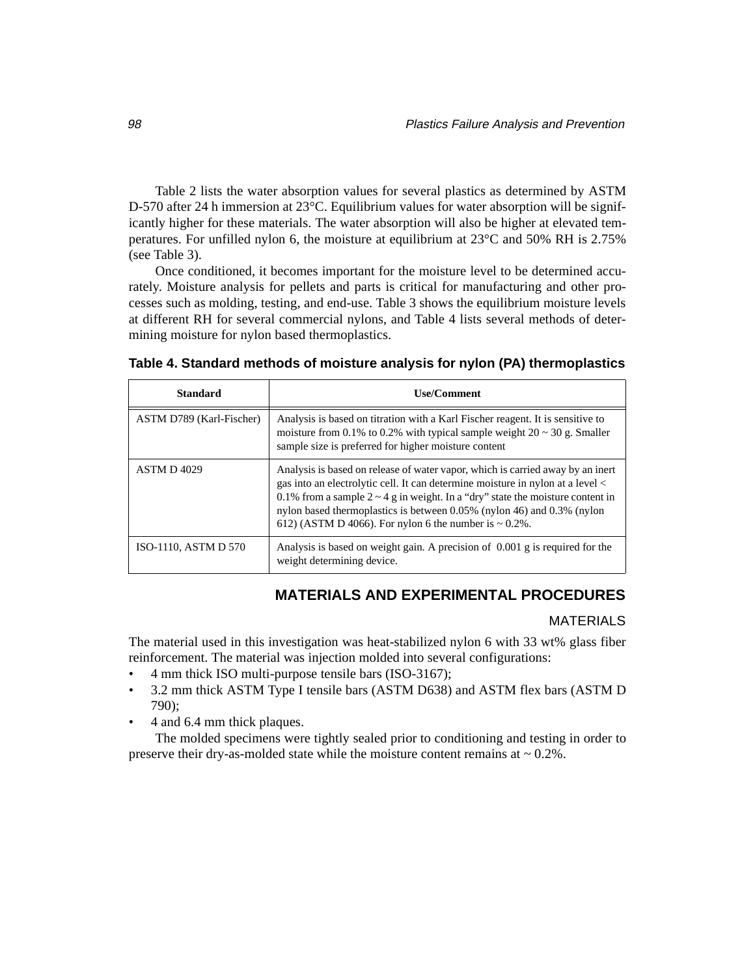Table 2 lists the water absorption values for several plastics as determined by ASTM D-570 after 24 h immersion at 23°C. Equilibrium values for water absorption will be significantly higher for these materials. The water absorption will also be higher at elevated temperatures. For unfilled nylon 6, the moisture at equilibrium at 23°C and 50% RH is 2.75% (see Table 3).

Once conditioned, it becomes important for the moisture level to be determined accurately. Moisture analysis for pellets and parts is critical for manufacturing and other processes such as molding, testing, and end-use. Table 3 shows the equilibrium moisture levels at different RH for several commercial nylons, and Table 4 lists several methods of determining moisture for nylon based thermoplastics.

| <b>Standard</b>          | Use/Comment                                                                                                                                                                                                                                                                                                                                                                                       |
|--------------------------|---------------------------------------------------------------------------------------------------------------------------------------------------------------------------------------------------------------------------------------------------------------------------------------------------------------------------------------------------------------------------------------------------|
| ASTM D789 (Karl-Fischer) | Analysis is based on titration with a Karl Fischer reagent. It is sensitive to<br>moisture from 0.1% to 0.2% with typical sample weight $20 \sim 30$ g. Smaller<br>sample size is preferred for higher moisture content                                                                                                                                                                           |
| <b>ASTM D 4029</b>       | Analysis is based on release of water vapor, which is carried away by an inert<br>gas into an electrolytic cell. It can determine moisture in nylon at a level <<br>0.1% from a sample $2 \sim 4$ g in weight. In a "dry" state the moisture content in<br>nylon based thermoplastics is between 0.05% (nylon 46) and 0.3% (nylon<br>612) (ASTM D 4066). For nylon 6 the number is $\sim 0.2\%$ . |
| ISO-1110, ASTM D 570     | Analysis is based on weight gain. A precision of 0.001 g is required for the<br>weight determining device.                                                                                                                                                                                                                                                                                        |

**Table 4. Standard methods of moisture analysis for nylon (PA) thermoplastics**

# **MATERIALS AND EXPERIMENTAL PROCEDURES**

### MATERIALS

The material used in this investigation was heat-stabilized nylon 6 with 33 wt% glass fiber reinforcement. The material was injection molded into several configurations:

- 4 mm thick ISO multi-purpose tensile bars (ISO-3167);
- 3.2 mm thick ASTM Type I tensile bars (ASTM D638) and ASTM flex bars (ASTM D 790);
- 4 and 6.4 mm thick plaques.

The molded specimens were tightly sealed prior to conditioning and testing in order to preserve their dry-as-molded state while the moisture content remains at  $\sim 0.2\%$ .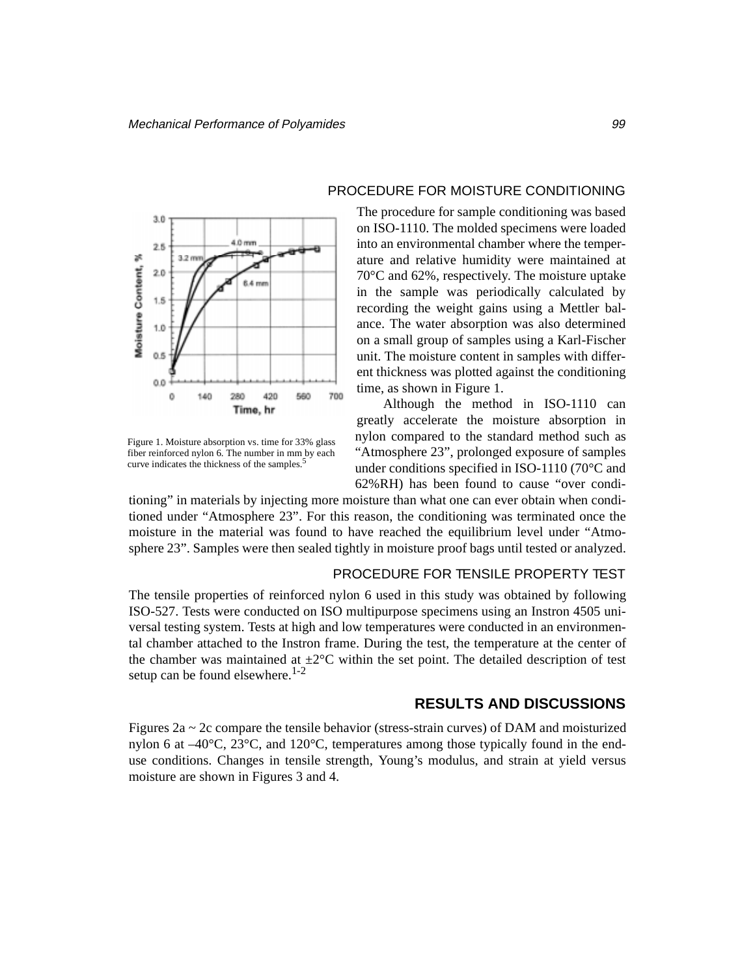

Figure 1. Moisture absorption vs. time for 33% glass fiber reinforced nylon 6. The number in mm by each curve indicates the thickness of the samples.<sup>5</sup>

#### PROCEDURE FOR MOISTURE CONDITIONING

The procedure for sample conditioning was based on ISO-1110. The molded specimens were loaded into an environmental chamber where the temperature and relative humidity were maintained at 70°C and 62%, respectively. The moisture uptake in the sample was periodically calculated by recording the weight gains using a Mettler balance. The water absorption was also determined on a small group of samples using a Karl-Fischer unit. The moisture content in samples with different thickness was plotted against the conditioning time, as shown in Figure 1.

Although the method in ISO-1110 can greatly accelerate the moisture absorption in nylon compared to the standard method such as "Atmosphere 23", prolonged exposure of samples under conditions specified in ISO-1110 (70°C and 62%RH) has been found to cause "over condi-

tioning" in materials by injecting more moisture than what one can ever obtain when conditioned under "Atmosphere 23". For this reason, the conditioning was terminated once the moisture in the material was found to have reached the equilibrium level under "Atmosphere 23". Samples were then sealed tightly in moisture proof bags until tested or analyzed.

### PROCEDURE FOR TENSILE PROPERTY TEST

The tensile properties of reinforced nylon 6 used in this study was obtained by following ISO-527. Tests were conducted on ISO multipurpose specimens using an Instron 4505 universal testing system. Tests at high and low temperatures were conducted in an environmental chamber attached to the Instron frame. During the test, the temperature at the center of the chamber was maintained at  $\pm 2^{\circ}$ C within the set point. The detailed description of test setup can be found elsewhere. $1-2$ 

## **RESULTS AND DISCUSSIONS**

Figures  $2a \sim 2c$  compare the tensile behavior (stress-strain curves) of DAM and moisturized nylon 6 at  $-40^{\circ}$ C,  $23^{\circ}$ C, and  $120^{\circ}$ C, temperatures among those typically found in the enduse conditions. Changes in tensile strength, Young's modulus, and strain at yield versus moisture are shown in Figures 3 and 4.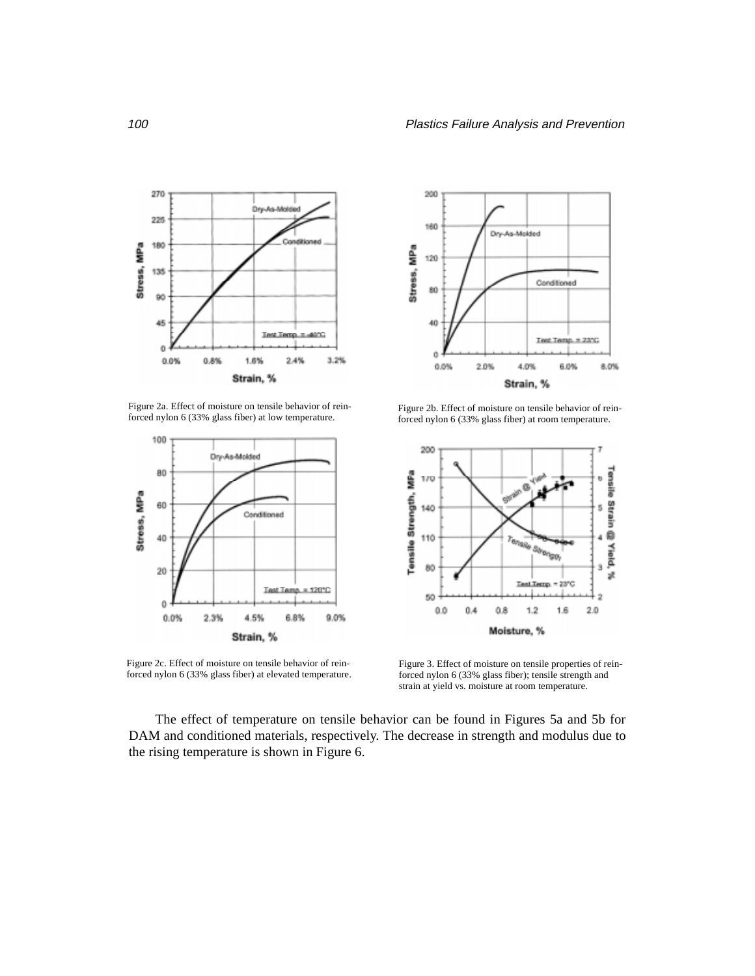

Figure 2a. Effect of moisture on tensile behavior of reinforced nylon 6 (33% glass fiber) at low temperature.



Figure 2c. Effect of moisture on tensile behavior of reinforced nylon 6 (33% glass fiber) at elevated temperature.



Figure 2b. Effect of moisture on tensile behavior of reinforced nylon 6 (33% glass fiber) at room temperature.



Figure 3. Effect of moisture on tensile properties of reinforced nylon 6 (33% glass fiber); tensile strength and strain at yield vs. moisture at room temperature.

The effect of temperature on tensile behavior can be found in Figures 5a and 5b for DAM and conditioned materials, respectively. The decrease in strength and modulus due to the rising temperature is shown in Figure 6.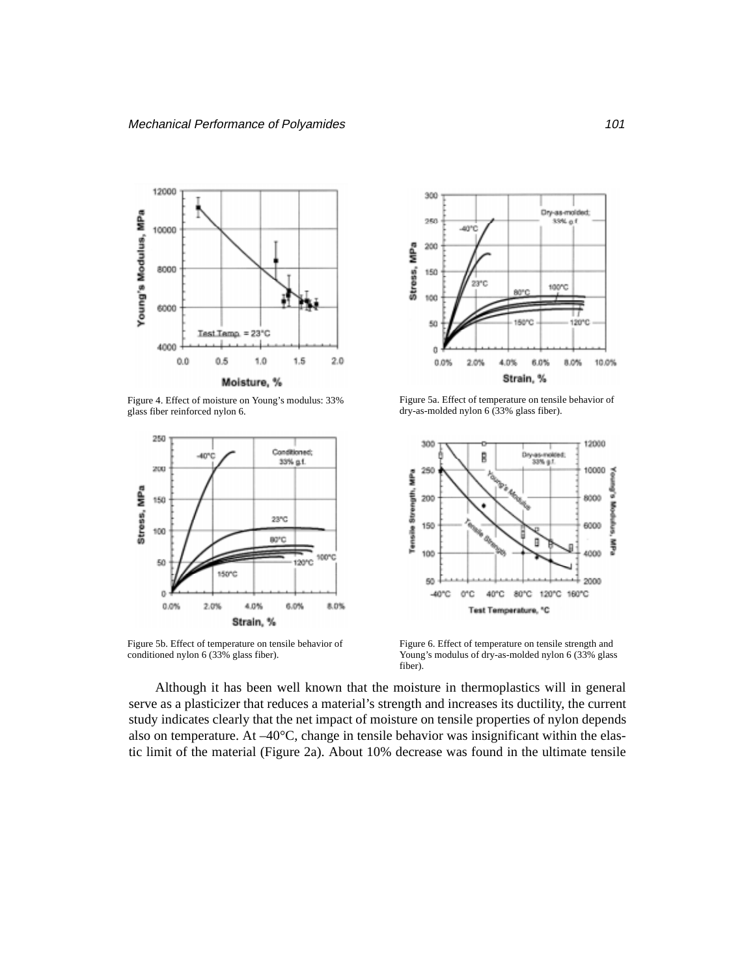

Figure 4. Effect of moisture on Young's modulus: 33% glass fiber reinforced nylon 6.



Figure 5b. Effect of temperature on tensile behavior of conditioned nylon 6 (33% glass fiber).



Figure 5a. Effect of temperature on tensile behavior of dry-as-molded nylon 6 (33% glass fiber).



Figure 6. Effect of temperature on tensile strength and Young's modulus of dry-as-molded nylon 6 (33% glass fiber).

Although it has been well known that the moisture in thermoplastics will in general serve as a plasticizer that reduces a material's strength and increases its ductility, the current study indicates clearly that the net impact of moisture on tensile properties of nylon depends also on temperature. At –40°C, change in tensile behavior was insignificant within the elastic limit of the material (Figure 2a). About 10% decrease was found in the ultimate tensile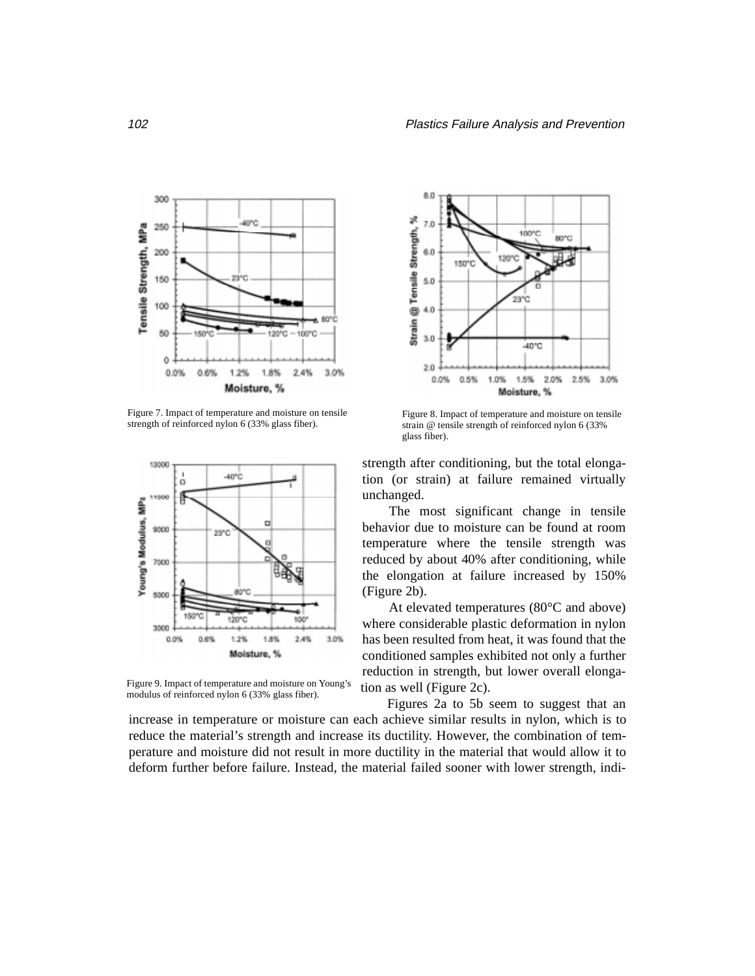

Figure 7. Impact of temperature and moisture on tensile strength of reinforced nylon 6 (33% glass fiber).



Figure 9. Impact of temperature and moisture on Young's modulus of reinforced nylon 6 (33% glass fiber).



Figure 8. Impact of temperature and moisture on tensile strain @ tensile strength of reinforced nylon 6 (33% glass fiber).

strength after conditioning, but the total elongation (or strain) at failure remained virtually unchanged.

The most significant change in tensile behavior due to moisture can be found at room temperature where the tensile strength was reduced by about 40% after conditioning, while the elongation at failure increased by 150% (Figure 2b).

At elevated temperatures (80°C and above) where considerable plastic deformation in nylon has been resulted from heat, it was found that the conditioned samples exhibited not only a further reduction in strength, but lower overall elongation as well (Figure 2c).

Figures 2a to 5b seem to suggest that an increase in temperature or moisture can each achieve similar results in nylon, which is to reduce the material's strength and increase its ductility. However, the combination of temperature and moisture did not result in more ductility in the material that would allow it to deform further before failure. Instead, the material failed sooner with lower strength, indi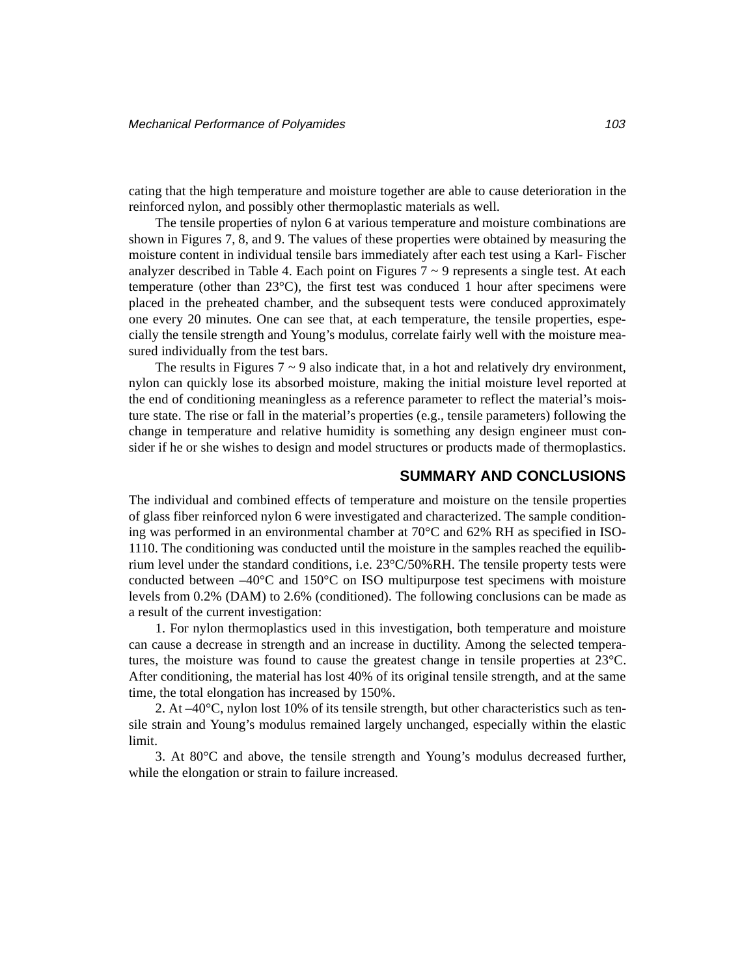cating that the high temperature and moisture together are able to cause deterioration in the reinforced nylon, and possibly other thermoplastic materials as well.

The tensile properties of nylon 6 at various temperature and moisture combinations are shown in Figures 7, 8, and 9. The values of these properties were obtained by measuring the moisture content in individual tensile bars immediately after each test using a Karl- Fischer analyzer described in Table 4. Each point on Figures  $7 \sim 9$  represents a single test. At each temperature (other than 23°C), the first test was conduced 1 hour after specimens were placed in the preheated chamber, and the subsequent tests were conduced approximately one every 20 minutes. One can see that, at each temperature, the tensile properties, especially the tensile strength and Young's modulus, correlate fairly well with the moisture measured individually from the test bars.

The results in Figures  $7 \sim 9$  also indicate that, in a hot and relatively dry environment, nylon can quickly lose its absorbed moisture, making the initial moisture level reported at the end of conditioning meaningless as a reference parameter to reflect the material's moisture state. The rise or fall in the material's properties (e.g., tensile parameters) following the change in temperature and relative humidity is something any design engineer must consider if he or she wishes to design and model structures or products made of thermoplastics.

## **SUMMARY AND CONCLUSIONS**

The individual and combined effects of temperature and moisture on the tensile properties of glass fiber reinforced nylon 6 were investigated and characterized. The sample conditioning was performed in an environmental chamber at 70°C and 62% RH as specified in ISO-1110. The conditioning was conducted until the moisture in the samples reached the equilibrium level under the standard conditions, i.e. 23°C/50%RH. The tensile property tests were conducted between  $-40^{\circ}\text{C}$  and  $150^{\circ}\text{C}$  on ISO multipurpose test specimens with moisture levels from 0.2% (DAM) to 2.6% (conditioned). The following conclusions can be made as a result of the current investigation:

1. For nylon thermoplastics used in this investigation, both temperature and moisture can cause a decrease in strength and an increase in ductility. Among the selected temperatures, the moisture was found to cause the greatest change in tensile properties at 23°C. After conditioning, the material has lost 40% of its original tensile strength, and at the same time, the total elongation has increased by 150%.

2. At –40°C, nylon lost 10% of its tensile strength, but other characteristics such as tensile strain and Young's modulus remained largely unchanged, especially within the elastic limit.

3. At 80°C and above, the tensile strength and Young's modulus decreased further, while the elongation or strain to failure increased.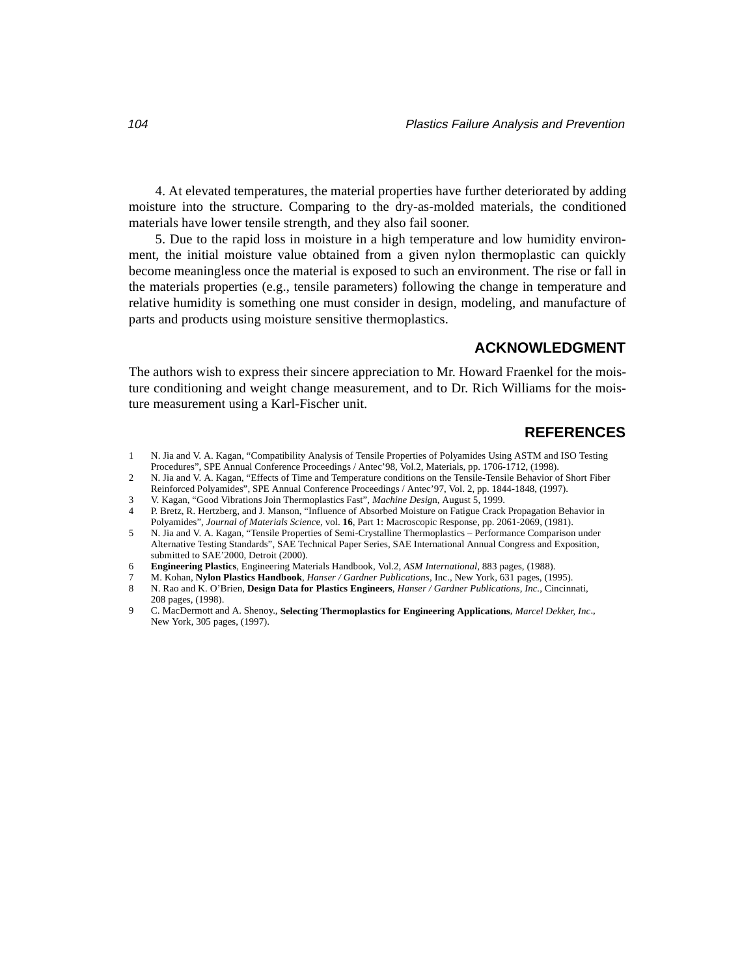4. At elevated temperatures, the material properties have further deteriorated by adding moisture into the structure. Comparing to the dry-as-molded materials, the conditioned materials have lower tensile strength, and they also fail sooner.

5. Due to the rapid loss in moisture in a high temperature and low humidity environment, the initial moisture value obtained from a given nylon thermoplastic can quickly become meaningless once the material is exposed to such an environment. The rise or fall in the materials properties (e.g., tensile parameters) following the change in temperature and relative humidity is something one must consider in design, modeling, and manufacture of parts and products using moisture sensitive thermoplastics.

## **ACKNOWLEDGMENT**

The authors wish to express their sincere appreciation to Mr. Howard Fraenkel for the moisture conditioning and weight change measurement, and to Dr. Rich Williams for the moisture measurement using a Karl-Fischer unit.

# **REFERENCES**

- 1 N. Jia and V. A. Kagan, "Compatibility Analysis of Tensile Properties of Polyamides Using ASTM and ISO Testing Procedures", SPE Annual Conference Proceedings / Antec'98, Vol.2, Materials, pp. 1706-1712, (1998).
- 2 N. Jia and V. A. Kagan, "Effects of Time and Temperature conditions on the Tensile-Tensile Behavior of Short Fiber Reinforced Polyamides", SPE Annual Conference Proceedings / Antec'97, Vol. 2, pp. 1844-1848, (1997).
- 3 V. Kagan, "Good Vibrations Join Thermoplastics Fast", *Machine Desig*n, August 5, 1999.
- 4 P. Bretz, R. Hertzberg, and J. Manson, "Influence of Absorbed Moisture on Fatigue Crack Propagation Behavior in Polyamides", *Journal of Materials Scienc*e, vol. **16**, Part 1: Macroscopic Response, pp. 2061-2069, (1981).
- 5 N. Jia and V. A. Kagan, "Tensile Properties of Semi-Crystalline Thermoplastics Performance Comparison under Alternative Testing Standards", SAE Technical Paper Series, SAE International Annual Congress and Exposition, submitted to SAE'2000, Detroit (2000).
- 6 **Engineering Plastics**, Engineering Materials Handbook, Vol.2, *ASM International*, 883 pages, (1988).
- 7 M. Kohan, **Nylon Plastics Handbook***, Hanser / Gardner Publications*, Inc., New York, 631 pages, (1995).
- 8 N. Rao and K. O'Brien, **Design Data for Plastics Engineers**, *Hanser / Gardner Publications, Inc.*, Cincinnati, 208 pages, (1998).
- 9 C. MacDermott and A. Shenoy., **Selecting Thermoplastics for Engineering Applications**, *Marcel Dekker, Inc*., New York, 305 pages, (1997).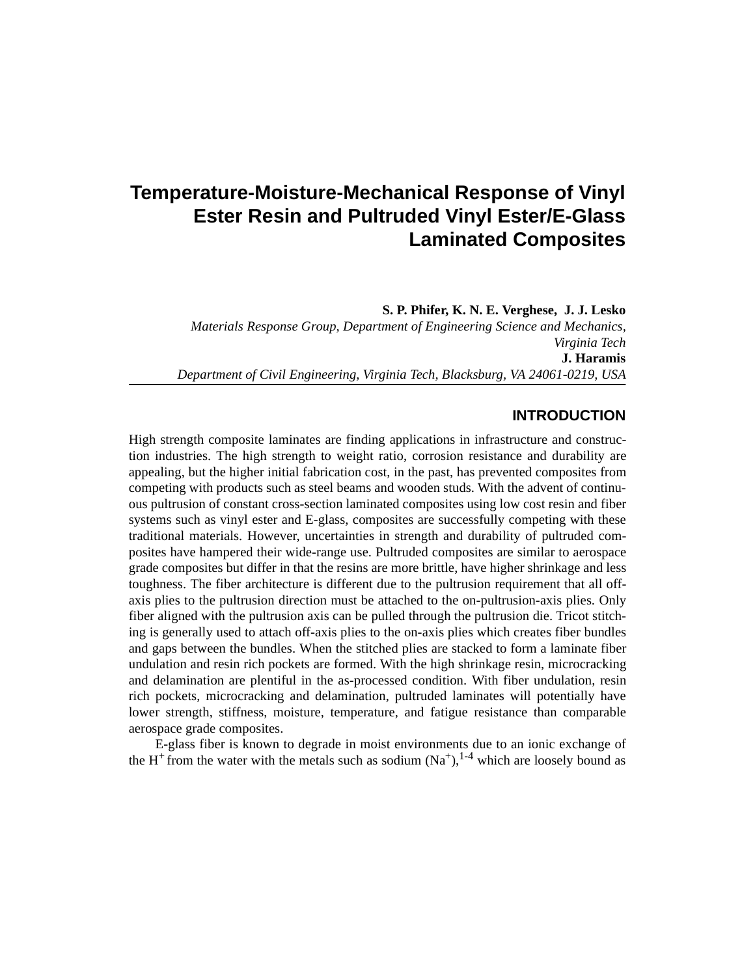# **Temperature-Moisture-Mechanical Response of Vinyl Ester Resin and Pultruded Vinyl Ester/E-Glass Laminated Composites**

**S. P. Phifer, K. N. E. Verghese, J. J. Lesko**

*Materials Response Group, Department of Engineering Science and Mechanics, Virginia Tech* **J. Haramis** *Department of Civil Engineering, Virginia Tech, Blacksburg, VA 24061-0219, USA*

## **INTRODUCTION**

High strength composite laminates are finding applications in infrastructure and construction industries. The high strength to weight ratio, corrosion resistance and durability are appealing, but the higher initial fabrication cost, in the past, has prevented composites from competing with products such as steel beams and wooden studs. With the advent of continuous pultrusion of constant cross-section laminated composites using low cost resin and fiber systems such as vinyl ester and E-glass, composites are successfully competing with these traditional materials. However, uncertainties in strength and durability of pultruded composites have hampered their wide-range use. Pultruded composites are similar to aerospace grade composites but differ in that the resins are more brittle, have higher shrinkage and less toughness. The fiber architecture is different due to the pultrusion requirement that all offaxis plies to the pultrusion direction must be attached to the on-pultrusion-axis plies. Only fiber aligned with the pultrusion axis can be pulled through the pultrusion die. Tricot stitching is generally used to attach off-axis plies to the on-axis plies which creates fiber bundles and gaps between the bundles. When the stitched plies are stacked to form a laminate fiber undulation and resin rich pockets are formed. With the high shrinkage resin, microcracking and delamination are plentiful in the as-processed condition. With fiber undulation, resin rich pockets, microcracking and delamination, pultruded laminates will potentially have lower strength, stiffness, moisture, temperature, and fatigue resistance than comparable aerospace grade composites.

E-glass fiber is known to degrade in moist environments due to an ionic exchange of the H<sup>+</sup> from the water with the metals such as sodium  $(Na^+),^{1-4}$  which are loosely bound as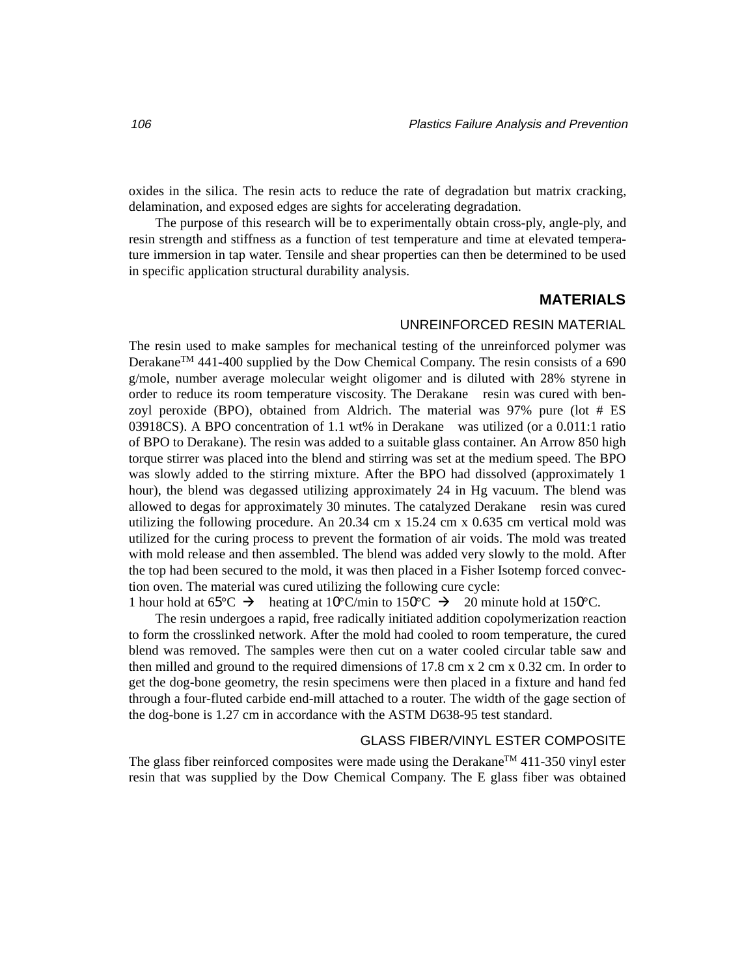oxides in the silica. The resin acts to reduce the rate of degradation but matrix cracking, delamination, and exposed edges are sights for accelerating degradation.

The purpose of this research will be to experimentally obtain cross-ply, angle-ply, and resin strength and stiffness as a function of test temperature and time at elevated temperature immersion in tap water. Tensile and shear properties can then be determined to be used in specific application structural durability analysis.

## **MATERIALS**

### UNREINFORCED RESIN MATERIAL

The resin used to make samples for mechanical testing of the unreinforced polymer was Derakane<sup>TM</sup> 441-400 supplied by the Dow Chemical Company. The resin consists of a 690 g/mole, number average molecular weight oligomer and is diluted with 28% styrene in order to reduce its room temperature viscosity. The Derakane<sup>TM</sup> resin was cured with benzoyl peroxide (BPO), obtained from Aldrich. The material was 97% pure (lot # ES 03918CS). A BPO concentration of 1.1 wt% in Derakane<sup>™</sup> was utilized (or a 0.011:1 ratio of BPO to Derakane). The resin was added to a suitable glass container. An Arrow 850 high torque stirrer was placed into the blend and stirring was set at the medium speed. The BPO was slowly added to the stirring mixture. After the BPO had dissolved (approximately 1 hour), the blend was degassed utilizing approximately 24 in Hg vacuum. The blend was allowed to degas for approximately 30 minutes. The catalyzed Derakane<sup> $M$ </sup> resin was cured utilizing the following procedure. An 20.34 cm x 15.24 cm x 0.635 cm vertical mold was utilized for the curing process to prevent the formation of air voids. The mold was treated with mold release and then assembled. The blend was added very slowly to the mold. After the top had been secured to the mold, it was then placed in a Fisher Isotemp forced convection oven. The material was cured utilizing the following cure cycle:

1 hour hold at  $65^{\circ}\text{C} \rightarrow \text{heating at } 10^{\circ}\text{C/min}$  to  $150^{\circ}\text{C} \rightarrow 20$  minute hold at  $150^{\circ}\text{C}$ .

The resin undergoes a rapid, free radically initiated addition copolymerization reaction to form the crosslinked network. After the mold had cooled to room temperature, the cured blend was removed. The samples were then cut on a water cooled circular table saw and then milled and ground to the required dimensions of 17.8 cm x 2 cm x 0.32 cm. In order to get the dog-bone geometry, the resin specimens were then placed in a fixture and hand fed through a four-fluted carbide end-mill attached to a router. The width of the gage section of the dog-bone is 1.27 cm in accordance with the ASTM D638-95 test standard.

### GLASS FIBER/VINYL ESTER COMPOSITE

The glass fiber reinforced composites were made using the Derakane<sup>TM</sup> 411-350 vinyl ester resin that was supplied by the Dow Chemical Company. The E glass fiber was obtained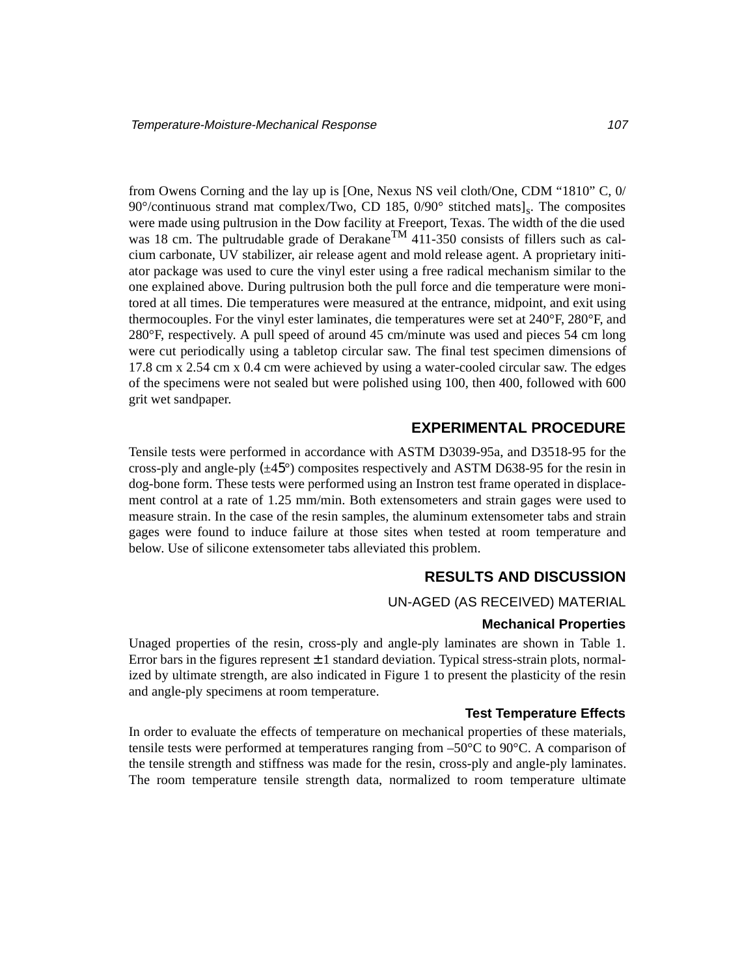from Owens Corning and the lay up is [One, Nexus NS veil cloth/One, CDM "1810" C, 0/ 90°/continuous strand mat complex/Two, CD 185,  $0/90°$  stitched mats]<sub>s</sub>. The composites were made using pultrusion in the Dow facility at Freeport, Texas. The width of the die used was 18 cm. The pultrudable grade of Derakane<sup>TM</sup> 411-350 consists of fillers such as calcium carbonate, UV stabilizer, air release agent and mold release agent. A proprietary initiator package was used to cure the vinyl ester using a free radical mechanism similar to the one explained above. During pultrusion both the pull force and die temperature were monitored at all times. Die temperatures were measured at the entrance, midpoint, and exit using thermocouples. For the vinyl ester laminates, die temperatures were set at 240°F, 280°F, and 280°F, respectively. A pull speed of around 45 cm/minute was used and pieces 54 cm long were cut periodically using a tabletop circular saw. The final test specimen dimensions of 17.8 cm x 2.54 cm x 0.4 cm were achieved by using a water-cooled circular saw. The edges of the specimens were not sealed but were polished using 100, then 400, followed with 600 grit wet sandpaper.

# **EXPERIMENTAL PROCEDURE**

Tensile tests were performed in accordance with ASTM D3039-95a, and D3518-95 for the cross-ply and angle-ply  $(\pm 45^{\circ})$  composites respectively and ASTM D638-95 for the resin in dog-bone form. These tests were performed using an Instron test frame operated in displacement control at a rate of 1.25 mm/min. Both extensometers and strain gages were used to measure strain. In the case of the resin samples, the aluminum extensometer tabs and strain gages were found to induce failure at those sites when tested at room temperature and below. Use of silicone extensometer tabs alleviated this problem.

# **RESULTS AND DISCUSSION**

## UN-AGED (AS RECEIVED) MATERIAL

### **Mechanical Properties**

Unaged properties of the resin, cross-ply and angle-ply laminates are shown in Table 1. Error bars in the figures represent  $\pm 1$  standard deviation. Typical stress-strain plots, normalized by ultimate strength, are also indicated in Figure 1 to present the plasticity of the resin and angle-ply specimens at room temperature.

## **Test Temperature Effects**

In order to evaluate the effects of temperature on mechanical properties of these materials, tensile tests were performed at temperatures ranging from –50°C to 90°C. A comparison of the tensile strength and stiffness was made for the resin, cross-ply and angle-ply laminates. The room temperature tensile strength data, normalized to room temperature ultimate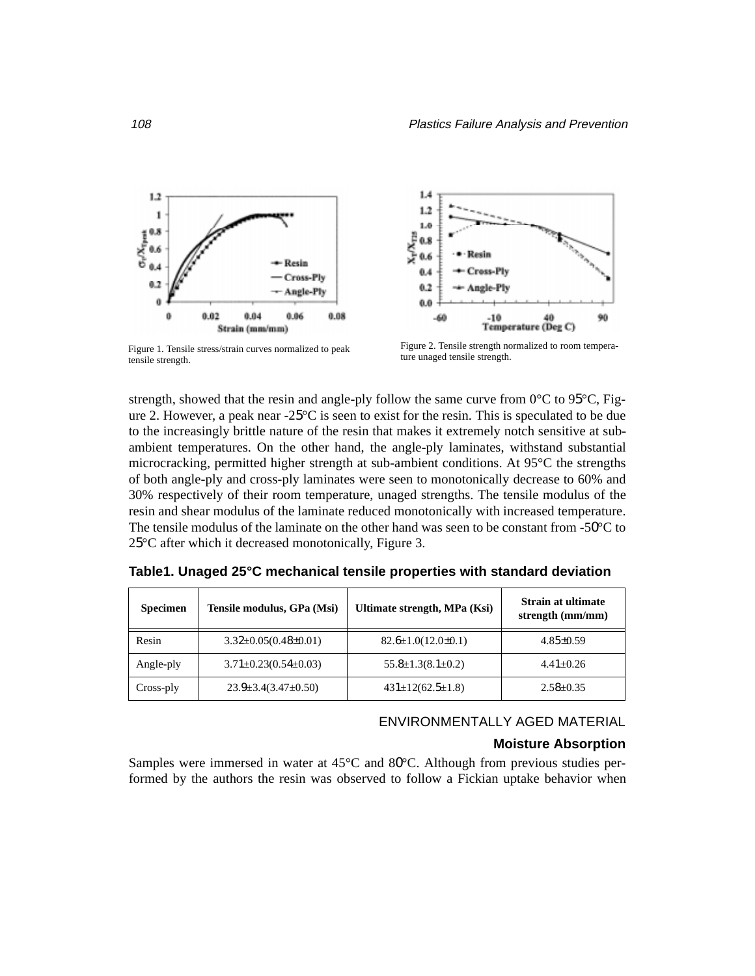

Figure 1. Tensile stress/strain curves normalized to peak tensile strength.



Figure 2. Tensile strength normalized to room temperature unaged tensile strength.

strength, showed that the resin and angle-ply follow the same curve from  $0^{\circ}$ C to 95 $^{\circ}$ C, Figure 2. However, a peak near -25°C is seen to exist for the resin. This is speculated to be due to the increasingly brittle nature of the resin that makes it extremely notch sensitive at subambient temperatures. On the other hand, the angle-ply laminates, withstand substantial microcracking, permitted higher strength at sub-ambient conditions. At 95°C the strengths of both angle-ply and cross-ply laminates were seen to monotonically decrease to 60% and 30% respectively of their room temperature, unaged strengths. The tensile modulus of the resin and shear modulus of the laminate reduced monotonically with increased temperature. The tensile modulus of the laminate on the other hand was seen to be constant from  $-50^{\circ}$ C to 25°C after which it decreased monotonically, Figure 3.

| Table1. Unaged 25°C mechanical tensile properties with standard deviation |  |
|---------------------------------------------------------------------------|--|
|---------------------------------------------------------------------------|--|

| <b>Specimen</b> | Tensile modulus, GPa (Msi)     | Ultimate strength, MPa (Ksi) | <b>Strain at ultimate</b><br>strength (mm/mm) |
|-----------------|--------------------------------|------------------------------|-----------------------------------------------|
| Resin           | $3.32 \pm 0.05(0.48 \pm 0.01)$ | $82.6 \pm 1.0(12.0 \pm 0.1)$ | $4.85\pm0.59$                                 |
| Angle-ply       | $3.71 \pm 0.23(0.54 \pm 0.03)$ | $55.8 \pm 1.3(8.1 \pm 0.2)$  | $4.41 \pm 0.26$                               |
| Cross-ply       | $23.9 \pm 3.4(3.47 \pm 0.50)$  | $431 \pm 12(62.5 \pm 1.8)$   | $2.58 \pm 0.35$                               |

### ENVIRONMENTALLY AGED MATERIAL

## **Moisture Absorption**

Samples were immersed in water at 45°C and 80°C. Although from previous studies performed by the authors the resin was observed to follow a Fickian uptake behavior when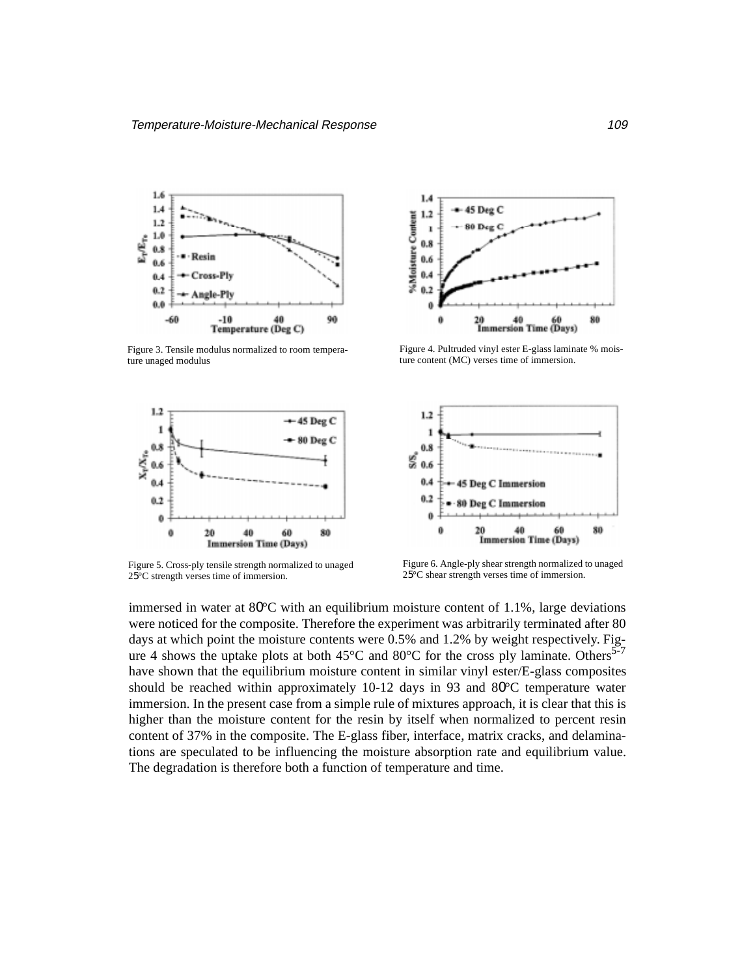

Figure 3. Tensile modulus normalized to room temperature unaged modulus



Figure 5. Cross-ply tensile strength normalized to unaged 25°C strength verses time of immersion.



Figure 4. Pultruded vinyl ester E-glass laminate % moisture content (MC) verses time of immersion.



Figure 6. Angle-ply shear strength normalized to unaged 25°C shear strength verses time of immersion.

immersed in water at 80°C with an equilibrium moisture content of 1.1%, large deviations were noticed for the composite. Therefore the experiment was arbitrarily terminated after 80 days at which point the moisture contents were 0.5% and 1.2% by weight respectively. Figure 4 shows the uptake plots at both  $45^{\circ}$ C and  $80^{\circ}$ C for the cross ply laminate. Others<sup>5-7</sup> have shown that the equilibrium moisture content in similar vinyl ester/E-glass composites should be reached within approximately 10-12 days in 93 and 80°C temperature water immersion. In the present case from a simple rule of mixtures approach, it is clear that this is higher than the moisture content for the resin by itself when normalized to percent resin content of 37% in the composite. The E-glass fiber, interface, matrix cracks, and delaminations are speculated to be influencing the moisture absorption rate and equilibrium value. The degradation is therefore both a function of temperature and time.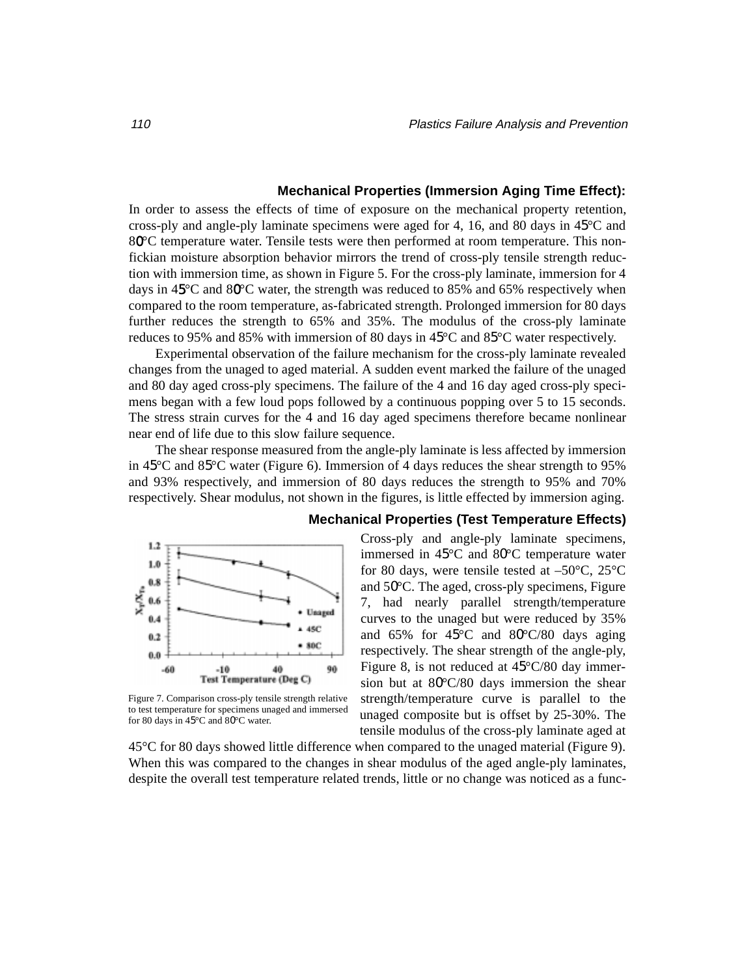### **Mechanical Properties (Immersion Aging Time Effect):**

In order to assess the effects of time of exposure on the mechanical property retention, cross-ply and angle-ply laminate specimens were aged for 4, 16, and 80 days in 45°C and 80°C temperature water. Tensile tests were then performed at room temperature. This nonfickian moisture absorption behavior mirrors the trend of cross-ply tensile strength reduction with immersion time, as shown in Figure 5. For the cross-ply laminate, immersion for 4 days in 45°C and 80°C water, the strength was reduced to 85% and 65% respectively when compared to the room temperature, as-fabricated strength. Prolonged immersion for 80 days further reduces the strength to 65% and 35%. The modulus of the cross-ply laminate reduces to 95% and 85% with immersion of 80 days in 45°C and 85°C water respectively.

Experimental observation of the failure mechanism for the cross-ply laminate revealed changes from the unaged to aged material. A sudden event marked the failure of the unaged and 80 day aged cross-ply specimens. The failure of the 4 and 16 day aged cross-ply specimens began with a few loud pops followed by a continuous popping over 5 to 15 seconds. The stress strain curves for the 4 and 16 day aged specimens therefore became nonlinear near end of life due to this slow failure sequence.

The shear response measured from the angle-ply laminate is less affected by immersion in 45°C and 85°C water (Figure 6). Immersion of 4 days reduces the shear strength to 95% and 93% respectively, and immersion of 80 days reduces the strength to 95% and 70% respectively. Shear modulus, not shown in the figures, is little effected by immersion aging.



Figure 7. Comparison cross-ply tensile strength relative to test temperature for specimens unaged and immersed for 80 days in 45°C and 80°C water.

#### **Mechanical Properties (Test Temperature Effects)**

Cross-ply and angle-ply laminate specimens, immersed in 45°C and 80°C temperature water for 80 days, were tensile tested at  $-50^{\circ}$ C,  $25^{\circ}$ C and 50°C. The aged, cross-ply specimens, Figure 7, had nearly parallel strength/temperature curves to the unaged but were reduced by 35% and 65% for 45°C and 80°C/80 days aging respectively. The shear strength of the angle-ply, Figure 8, is not reduced at 45°C/80 day immersion but at 80°C/80 days immersion the shear strength/temperature curve is parallel to the unaged composite but is offset by 25-30%. The tensile modulus of the cross-ply laminate aged at

45°C for 80 days showed little difference when compared to the unaged material (Figure 9). When this was compared to the changes in shear modulus of the aged angle-ply laminates, despite the overall test temperature related trends, little or no change was noticed as a func-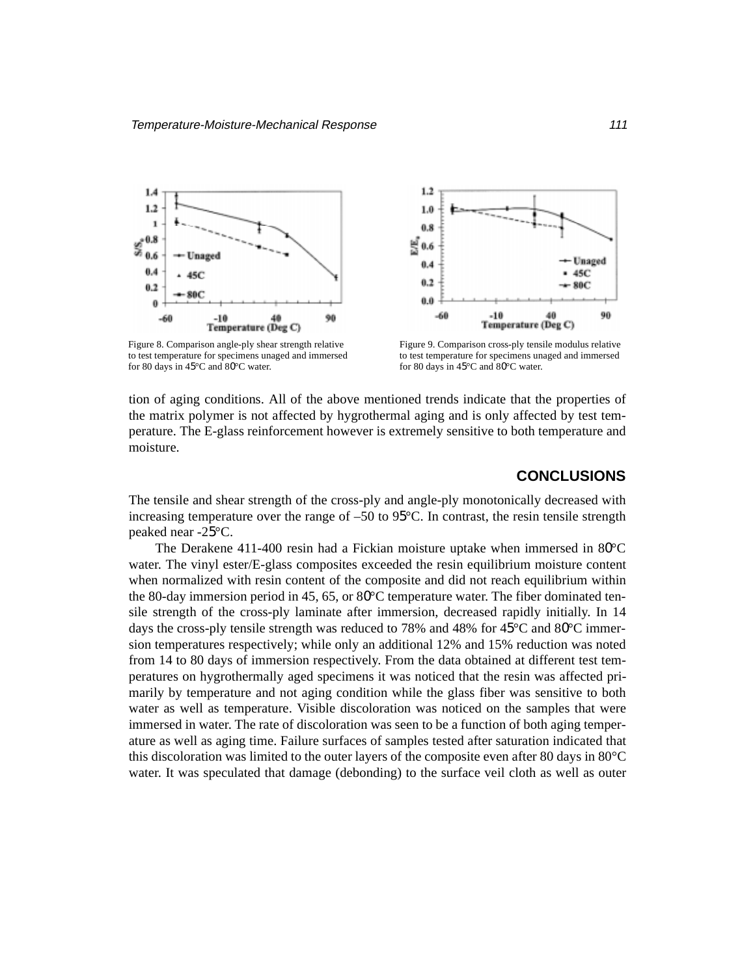

Figure 8. Comparison angle-ply shear strength relative to test temperature for specimens unaged and immersed for 80 days in 45°C and 80°C water.



Figure 9. Comparison cross-ply tensile modulus relative to test temperature for specimens unaged and immersed for 80 days in 45°C and 80°C water.

tion of aging conditions. All of the above mentioned trends indicate that the properties of the matrix polymer is not affected by hygrothermal aging and is only affected by test temperature. The E-glass reinforcement however is extremely sensitive to both temperature and moisture.

## **CONCLUSIONS**

The tensile and shear strength of the cross-ply and angle-ply monotonically decreased with increasing temperature over the range of –50 to 95°C. In contrast, the resin tensile strength peaked near -25°C.

The Derakene 411-400 resin had a Fickian moisture uptake when immersed in 80°C water. The vinyl ester/E-glass composites exceeded the resin equilibrium moisture content when normalized with resin content of the composite and did not reach equilibrium within the 80-day immersion period in 45, 65, or 80°C temperature water. The fiber dominated tensile strength of the cross-ply laminate after immersion, decreased rapidly initially. In 14 days the cross-ply tensile strength was reduced to 78% and 48% for 45°C and 80°C immersion temperatures respectively; while only an additional 12% and 15% reduction was noted from 14 to 80 days of immersion respectively. From the data obtained at different test temperatures on hygrothermally aged specimens it was noticed that the resin was affected primarily by temperature and not aging condition while the glass fiber was sensitive to both water as well as temperature. Visible discoloration was noticed on the samples that were immersed in water. The rate of discoloration was seen to be a function of both aging temperature as well as aging time. Failure surfaces of samples tested after saturation indicated that this discoloration was limited to the outer layers of the composite even after 80 days in 80°C water. It was speculated that damage (debonding) to the surface veil cloth as well as outer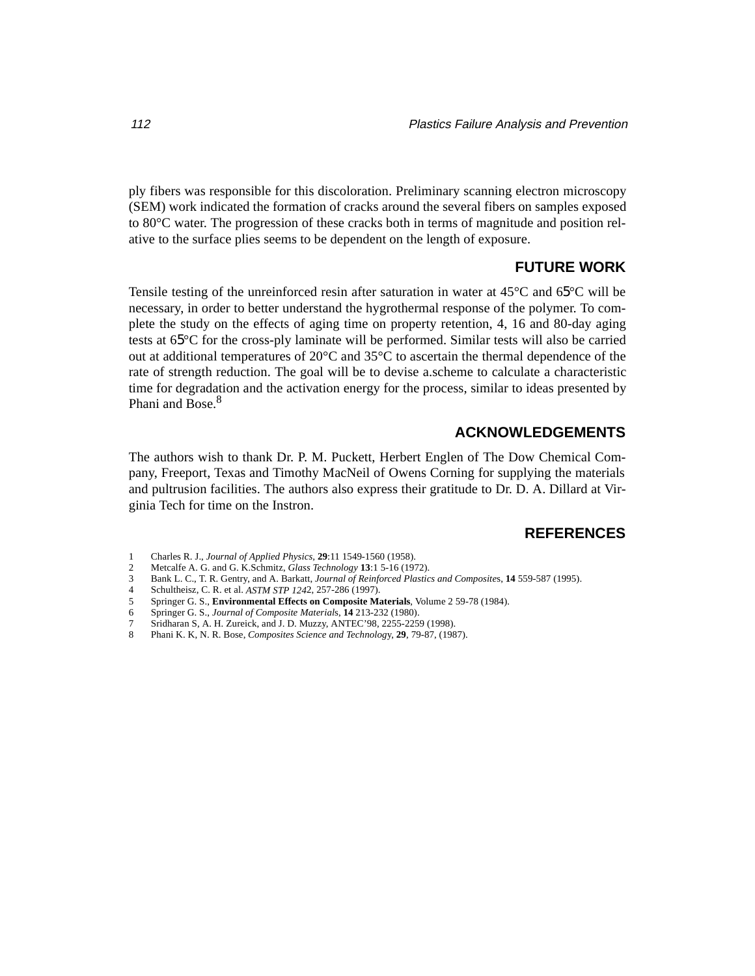ply fibers was responsible for this discoloration. Preliminary scanning electron microscopy (SEM) work indicated the formation of cracks around the several fibers on samples exposed to 80°C water. The progression of these cracks both in terms of magnitude and position relative to the surface plies seems to be dependent on the length of exposure.

## **FUTURE WORK**

Tensile testing of the unreinforced resin after saturation in water at 45°C and 65°C will be necessary, in order to better understand the hygrothermal response of the polymer. To complete the study on the effects of aging time on property retention, 4, 16 and 80-day aging tests at 65°C for the cross-ply laminate will be performed. Similar tests will also be carried out at additional temperatures of 20°C and 35°C to ascertain the thermal dependence of the rate of strength reduction. The goal will be to devise a.scheme to calculate a characteristic time for degradation and the activation energy for the process, similar to ideas presented by Phani and Bose.<sup>8</sup>

# **ACKNOWLEDGEMENTS**

The authors wish to thank Dr. P. M. Puckett, Herbert Englen of The Dow Chemical Company, Freeport, Texas and Timothy MacNeil of Owens Corning for supplying the materials and pultrusion facilities. The authors also express their gratitude to Dr. D. A. Dillard at Virginia Tech for time on the Instron.

# **REFERENCES**

- 1 Charles R. J., *Journal of Applied Physics,* **29**:11 1549-1560 (1958).
- 2 Metcalfe A. G. and G. K.Schmitz, *Glass Technology* **13**:1 5-16 (1972).
- 3 Bank L. C., T. R. Gentry, and A. Barkatt, *Journal of Reinforced Plastics and Composite*s, **14** 559-587 (1995).
- 4 Schultheisz, C. R. et al. *ASTM STP 124*2, 257-286 (1997).
- 5 Springer G. S., **Environmental Effects on Composite Materials**, Volume 2 59-78 (1984).
- 6 Springer G. S., *Journal of Composite Material*s, **14** 213-232 (1980).
- 7 Sridharan S, A. H. Zureick, and J. D. Muzzy, ANTEC'98, 2255-2259 (1998).
- 8 Phani K. K, N. R. Bose, *Composites Science and Technolog*y, **29**, 79-87, (1987).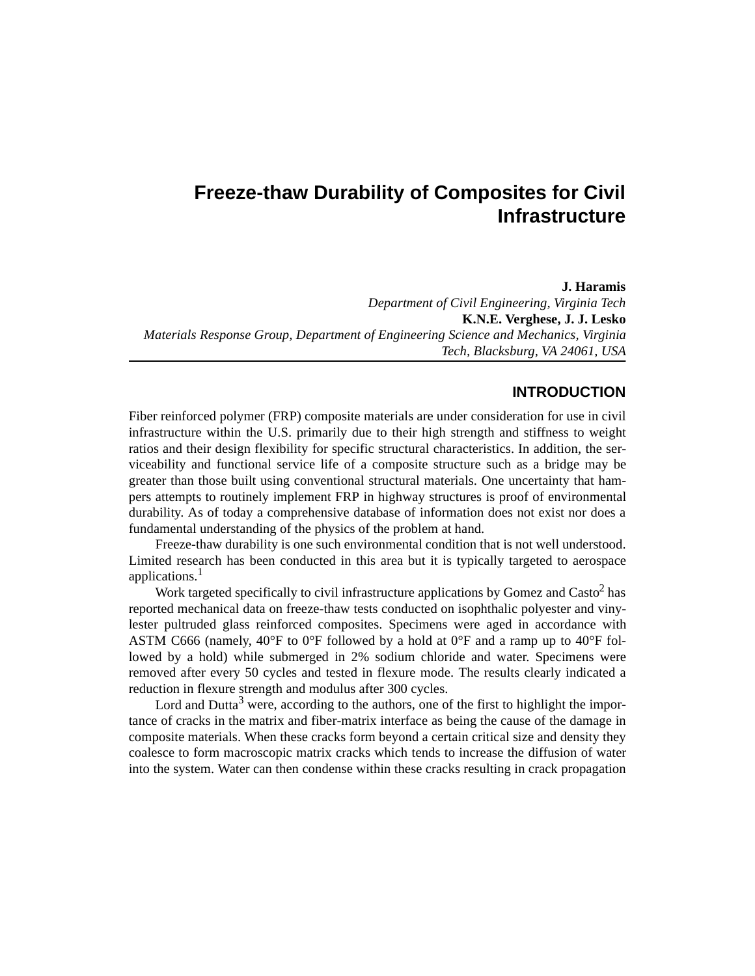# **Freeze-thaw Durability of Composites for Civil Infrastructure**

**J. Haramis**

*Department of Civil Engineering, Virginia Tech* **K.N.E. Verghese, J. J. Lesko** *Materials Response Group, Department of Engineering Science and Mechanics, Virginia Tech, Blacksburg, VA 24061, USA*

### **INTRODUCTION**

Fiber reinforced polymer (FRP) composite materials are under consideration for use in civil infrastructure within the U.S. primarily due to their high strength and stiffness to weight ratios and their design flexibility for specific structural characteristics. In addition, the serviceability and functional service life of a composite structure such as a bridge may be greater than those built using conventional structural materials. One uncertainty that hampers attempts to routinely implement FRP in highway structures is proof of environmental durability. As of today a comprehensive database of information does not exist nor does a fundamental understanding of the physics of the problem at hand.

Freeze-thaw durability is one such environmental condition that is not well understood. Limited research has been conducted in this area but it is typically targeted to aerospace applications.<sup>1</sup>

Work targeted specifically to civil infrastructure applications by Gomez and Casto<sup>2</sup> has reported mechanical data on freeze-thaw tests conducted on isophthalic polyester and vinylester pultruded glass reinforced composites. Specimens were aged in accordance with ASTM C666 (namely,  $40^{\circ}$ F to  $0^{\circ}$ F followed by a hold at  $0^{\circ}$ F and a ramp up to  $40^{\circ}$ F followed by a hold) while submerged in 2% sodium chloride and water. Specimens were removed after every 50 cycles and tested in flexure mode. The results clearly indicated a reduction in flexure strength and modulus after 300 cycles.

Lord and Dutta<sup>3</sup> were, according to the authors, one of the first to highlight the importance of cracks in the matrix and fiber-matrix interface as being the cause of the damage in composite materials. When these cracks form beyond a certain critical size and density they coalesce to form macroscopic matrix cracks which tends to increase the diffusion of water into the system. Water can then condense within these cracks resulting in crack propagation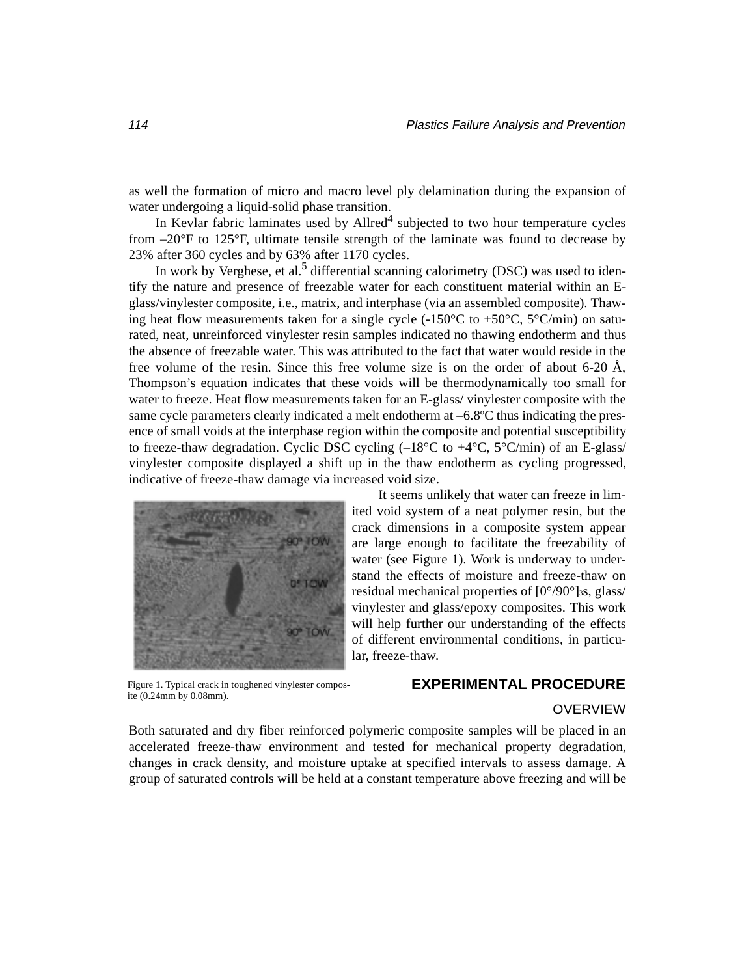as well the formation of micro and macro level ply delamination during the expansion of water undergoing a liquid-solid phase transition.

In Kevlar fabric laminates used by Allred<sup>4</sup> subjected to two hour temperature cycles from  $-20^{\circ}$ F to 125 $^{\circ}$ F, ultimate tensile strength of the laminate was found to decrease by 23% after 360 cycles and by 63% after 1170 cycles.

In work by Verghese, et al.<sup>5</sup> differential scanning calorimetry (DSC) was used to identify the nature and presence of freezable water for each constituent material within an Eglass/vinylester composite, i.e., matrix, and interphase (via an assembled composite). Thawing heat flow measurements taken for a single cycle  $(-150^{\circ}C \text{ to } +50^{\circ}C, 5^{\circ}C/\text{min})$  on saturated, neat, unreinforced vinylester resin samples indicated no thawing endotherm and thus the absence of freezable water. This was attributed to the fact that water would reside in the free volume of the resin. Since this free volume size is on the order of about 6-20 Å, Thompson's equation indicates that these voids will be thermodynamically too small for water to freeze. Heat flow measurements taken for an E-glass/ vinylester composite with the same cycle parameters clearly indicated a melt endotherm at –6.8ºC thus indicating the presence of small voids at the interphase region within the composite and potential susceptibility to freeze-thaw degradation. Cyclic DSC cycling  $(-18^{\circ}C \text{ to } +4^{\circ}C, 5^{\circ}C/\text{min})$  of an E-glass/ vinylester composite displayed a shift up in the thaw endotherm as cycling progressed, indicative of freeze-thaw damage via increased void size.



Figure 1. Typical crack in toughened vinylester composite (0.24mm by 0.08mm).

It seems unlikely that water can freeze in limited void system of a neat polymer resin, but the crack dimensions in a composite system appear are large enough to facilitate the freezability of water (see Figure 1). Work is underway to understand the effects of moisture and freeze-thaw on residual mechanical properties of  $[0^{\circ}/90^{\circ}]$ <sub>3S</sub>, glass/ vinylester and glass/epoxy composites. This work will help further our understanding of the effects of different environmental conditions, in particular, freeze-thaw.

### **EXPERIMENTAL PROCEDURE**

#### OVERVIEW

Both saturated and dry fiber reinforced polymeric composite samples will be placed in an accelerated freeze-thaw environment and tested for mechanical property degradation, changes in crack density, and moisture uptake at specified intervals to assess damage. A group of saturated controls will be held at a constant temperature above freezing and will be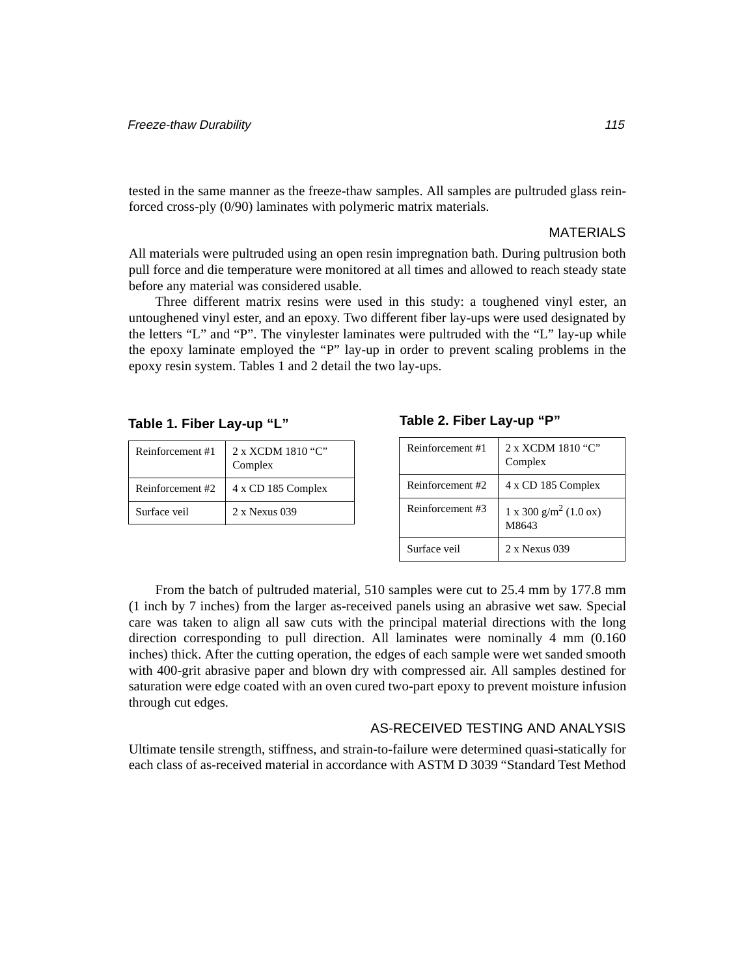tested in the same manner as the freeze-thaw samples. All samples are pultruded glass reinforced cross-ply (0/90) laminates with polymeric matrix materials.

### MATERIALS

All materials were pultruded using an open resin impregnation bath. During pultrusion both pull force and die temperature were monitored at all times and allowed to reach steady state before any material was considered usable.

Three different matrix resins were used in this study: a toughened vinyl ester, an untoughened vinyl ester, and an epoxy. Two different fiber lay-ups were used designated by the letters "L" and "P". The vinylester laminates were pultruded with the "L" lay-up while the epoxy laminate employed the "P" lay-up in order to prevent scaling problems in the epoxy resin system. Tables 1 and 2 detail the two lay-ups.

**Table 1. Fiber Lay-up "L"**

| Reinforcement #1 | 2 x XCDM 1810 "C"<br>Complex |
|------------------|------------------------------|
| Reinforcement #2 | 4 x CD 185 Complex           |
| Surface veil     | $2 \times$ Nexus 039         |

**Table 2. Fiber Lay-up "P"**

| Reinforcement #1 | 2 x XCDM 1810 "C"<br>Complex                      |
|------------------|---------------------------------------------------|
| Reinforcement #2 | 4 x CD 185 Complex                                |
| Reinforcement #3 | $1 \times 300$ g/m <sup>2</sup> (1.0 ox)<br>M8643 |
| Surface veil     | 2 x Nexus 039                                     |

From the batch of pultruded material, 510 samples were cut to 25.4 mm by 177.8 mm (1 inch by 7 inches) from the larger as-received panels using an abrasive wet saw. Special care was taken to align all saw cuts with the principal material directions with the long direction corresponding to pull direction. All laminates were nominally 4 mm (0.160 inches) thick. After the cutting operation, the edges of each sample were wet sanded smooth with 400-grit abrasive paper and blown dry with compressed air. All samples destined for saturation were edge coated with an oven cured two-part epoxy to prevent moisture infusion through cut edges.

# AS-RECEIVED TESTING AND ANALYSIS

Ultimate tensile strength, stiffness, and strain-to-failure were determined quasi-statically for each class of as-received material in accordance with ASTM D 3039 "Standard Test Method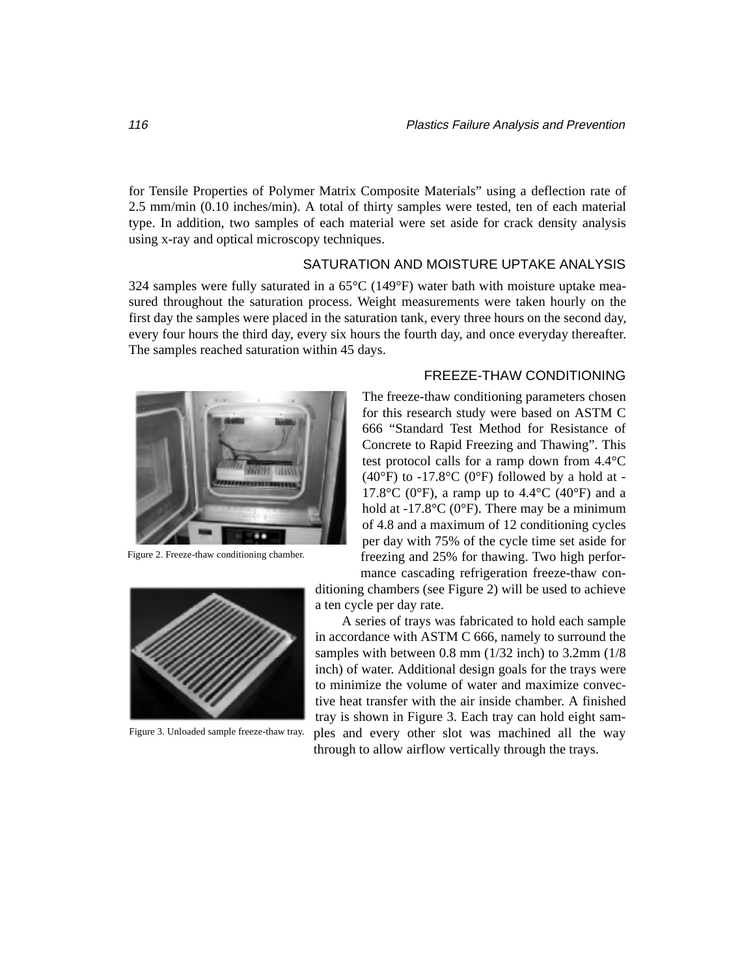for Tensile Properties of Polymer Matrix Composite Materials" using a deflection rate of 2.5 mm/min (0.10 inches/min). A total of thirty samples were tested, ten of each material type. In addition, two samples of each material were set aside for crack density analysis using x-ray and optical microscopy techniques.

### SATURATION AND MOISTURE UPTAKE ANALYSIS

324 samples were fully saturated in a  $65^{\circ}$ C (149 $^{\circ}$ F) water bath with moisture uptake measured throughout the saturation process. Weight measurements were taken hourly on the first day the samples were placed in the saturation tank, every three hours on the second day, every four hours the third day, every six hours the fourth day, and once everyday thereafter. The samples reached saturation within 45 days.



Figure 2. Freeze-thaw conditioning chamber.



Figure 3. Unloaded sample freeze-thaw tray.

### FREEZE-THAW CONDITIONING

The freeze-thaw conditioning parameters chosen for this research study were based on ASTM C 666 "Standard Test Method for Resistance of Concrete to Rapid Freezing and Thawing". This test protocol calls for a ramp down from 4.4°C (40°F) to -17.8°C (0°F) followed by a hold at -17.8 $\rm{°C}$  (0 $\rm{°F}$ ), a ramp up to 4.4 $\rm{°C}$  (40 $\rm{°F}$ ) and a hold at -17.8 $\rm{°C}$  (0 $\rm{°F}$ ). There may be a minimum of 4.8 and a maximum of 12 conditioning cycles per day with 75% of the cycle time set aside for freezing and 25% for thawing. Two high performance cascading refrigeration freeze-thaw con-

ditioning chambers (see Figure 2) will be used to achieve a ten cycle per day rate.

A series of trays was fabricated to hold each sample in accordance with ASTM C 666, namely to surround the samples with between 0.8 mm (1/32 inch) to 3.2mm (1/8 inch) of water. Additional design goals for the trays were to minimize the volume of water and maximize convective heat transfer with the air inside chamber. A finished tray is shown in Figure 3. Each tray can hold eight samples and every other slot was machined all the way through to allow airflow vertically through the trays.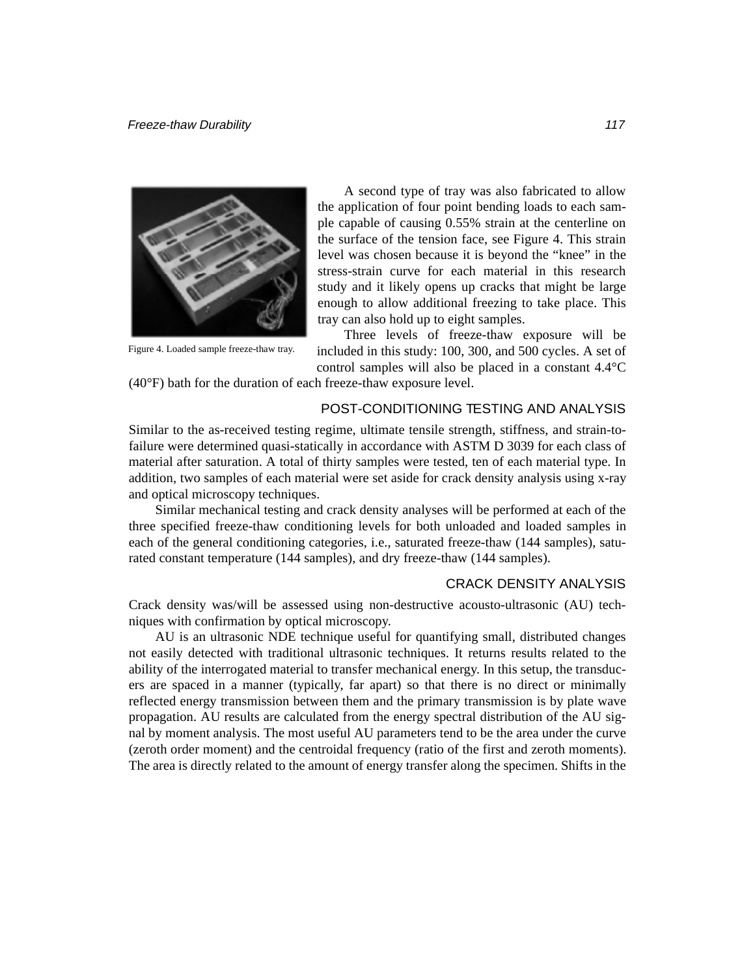

Figure 4. Loaded sample freeze-thaw tray.

A second type of tray was also fabricated to allow the application of four point bending loads to each sample capable of causing 0.55% strain at the centerline on the surface of the tension face, see Figure 4. This strain level was chosen because it is beyond the "knee" in the stress-strain curve for each material in this research study and it likely opens up cracks that might be large enough to allow additional freezing to take place. This tray can also hold up to eight samples.

Three levels of freeze-thaw exposure will be included in this study: 100, 300, and 500 cycles. A set of control samples will also be placed in a constant 4.4°C

(40°F) bath for the duration of each freeze-thaw exposure level.

### POST-CONDITIONING TESTING AND ANALYSIS

Similar to the as-received testing regime, ultimate tensile strength, stiffness, and strain-tofailure were determined quasi-statically in accordance with ASTM D 3039 for each class of material after saturation. A total of thirty samples were tested, ten of each material type. In addition, two samples of each material were set aside for crack density analysis using x-ray and optical microscopy techniques.

Similar mechanical testing and crack density analyses will be performed at each of the three specified freeze-thaw conditioning levels for both unloaded and loaded samples in each of the general conditioning categories, i.e., saturated freeze-thaw (144 samples), saturated constant temperature (144 samples), and dry freeze-thaw (144 samples).

### CRACK DENSITY ANALYSIS

Crack density was/will be assessed using non-destructive acousto-ultrasonic (AU) techniques with confirmation by optical microscopy.

AU is an ultrasonic NDE technique useful for quantifying small, distributed changes not easily detected with traditional ultrasonic techniques. It returns results related to the ability of the interrogated material to transfer mechanical energy. In this setup, the transducers are spaced in a manner (typically, far apart) so that there is no direct or minimally reflected energy transmission between them and the primary transmission is by plate wave propagation. AU results are calculated from the energy spectral distribution of the AU signal by moment analysis. The most useful AU parameters tend to be the area under the curve (zeroth order moment) and the centroidal frequency (ratio of the first and zeroth moments). The area is directly related to the amount of energy transfer along the specimen. Shifts in the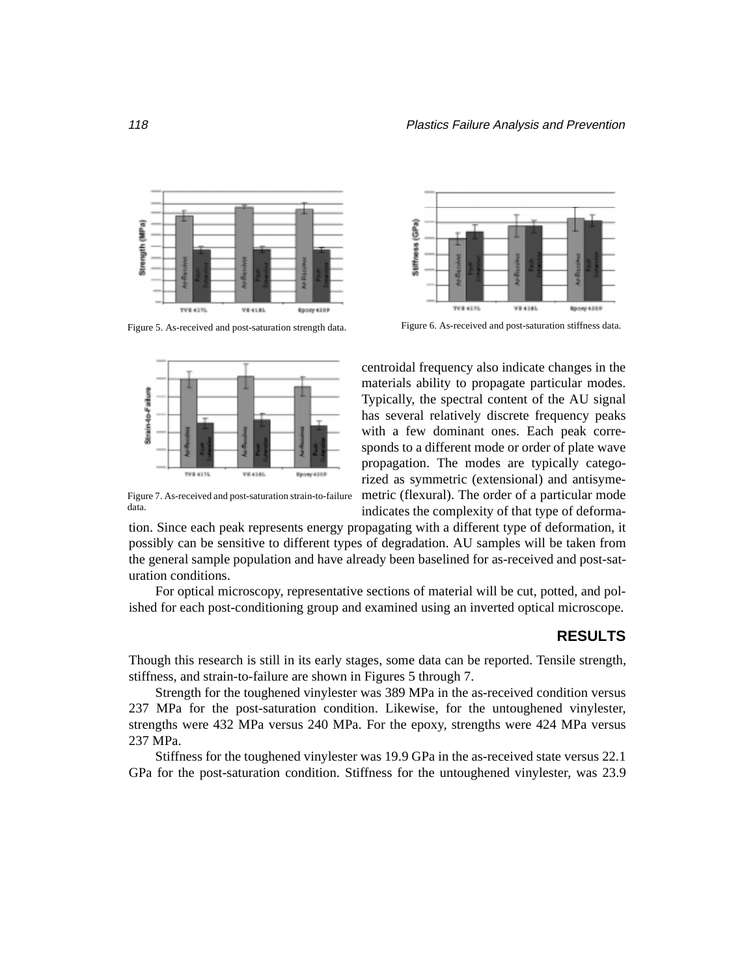



Figure 7. As-received and post-saturation strain-to-failure data.



Figure 5. As-received and post-saturation strength data. Figure 6. As-received and post-saturation stiffness data.

centroidal frequency also indicate changes in the materials ability to propagate particular modes. Typically, the spectral content of the AU signal has several relatively discrete frequency peaks with a few dominant ones. Each peak corresponds to a different mode or order of plate wave propagation. The modes are typically categorized as symmetric (extensional) and antisymemetric (flexural). The order of a particular mode indicates the complexity of that type of deforma-

tion. Since each peak represents energy propagating with a different type of deformation, it possibly can be sensitive to different types of degradation. AU samples will be taken from the general sample population and have already been baselined for as-received and post-saturation conditions.

For optical microscopy, representative sections of material will be cut, potted, and polished for each post-conditioning group and examined using an inverted optical microscope.

### **RESULTS**

Though this research is still in its early stages, some data can be reported. Tensile strength, stiffness, and strain-to-failure are shown in Figures 5 through 7.

Strength for the toughened vinylester was 389 MPa in the as-received condition versus 237 MPa for the post-saturation condition. Likewise, for the untoughened vinylester, strengths were 432 MPa versus 240 MPa. For the epoxy, strengths were 424 MPa versus 237 MPa.

Stiffness for the toughened vinylester was 19.9 GPa in the as-received state versus 22.1 GPa for the post-saturation condition. Stiffness for the untoughened vinylester, was 23.9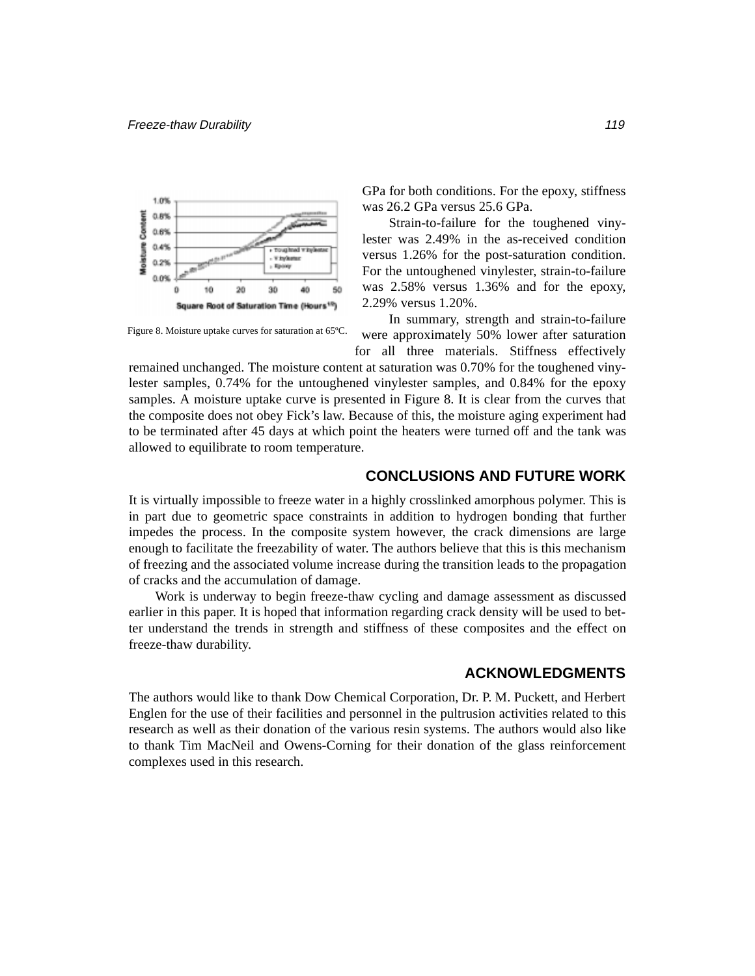

Figure 8. Moisture uptake curves for saturation at 65ºC.

GPa for both conditions. For the epoxy, stiffness was 26.2 GPa versus 25.6 GPa.

Strain-to-failure for the toughened vinylester was 2.49% in the as-received condition versus 1.26% for the post-saturation condition. For the untoughened vinylester, strain-to-failure was 2.58% versus 1.36% and for the epoxy, 2.29% versus 1.20%.

In summary, strength and strain-to-failure were approximately 50% lower after saturation for all three materials. Stiffness effectively

remained unchanged. The moisture content at saturation was 0.70% for the toughened vinylester samples, 0.74% for the untoughened vinylester samples, and 0.84% for the epoxy samples. A moisture uptake curve is presented in Figure 8. It is clear from the curves that the composite does not obey Fick's law. Because of this, the moisture aging experiment had to be terminated after 45 days at which point the heaters were turned off and the tank was allowed to equilibrate to room temperature.

### **CONCLUSIONS AND FUTURE WORK**

It is virtually impossible to freeze water in a highly crosslinked amorphous polymer. This is in part due to geometric space constraints in addition to hydrogen bonding that further impedes the process. In the composite system however, the crack dimensions are large enough to facilitate the freezability of water. The authors believe that this is this mechanism of freezing and the associated volume increase during the transition leads to the propagation of cracks and the accumulation of damage.

Work is underway to begin freeze-thaw cycling and damage assessment as discussed earlier in this paper. It is hoped that information regarding crack density will be used to better understand the trends in strength and stiffness of these composites and the effect on freeze-thaw durability.

### **ACKNOWLEDGMENTS**

The authors would like to thank Dow Chemical Corporation, Dr. P. M. Puckett, and Herbert Englen for the use of their facilities and personnel in the pultrusion activities related to this research as well as their donation of the various resin systems. The authors would also like to thank Tim MacNeil and Owens-Corning for their donation of the glass reinforcement complexes used in this research.